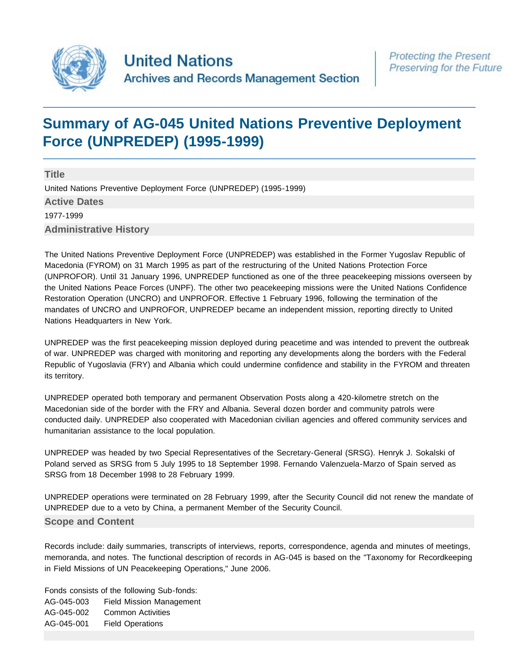

# **[Summary of AG-045 United Nations Preventive Deployment](http://search.archives.un.org/united-nations-preventive-deployment-force-unpredep-1995-1999) [Force \(UNPREDEP\) \(1995-1999\)](http://search.archives.un.org/united-nations-preventive-deployment-force-unpredep-1995-1999)**

**Title** United Nations Preventive Deployment Force (UNPREDEP) (1995-1999) **Active Dates** 1977-1999 **Administrative History**

The United Nations Preventive Deployment Force (UNPREDEP) was established in the Former Yugoslav Republic of Macedonia (FYROM) on 31 March 1995 as part of the restructuring of the United Nations Protection Force (UNPROFOR). Until 31 January 1996, UNPREDEP functioned as one of the three peacekeeping missions overseen by the United Nations Peace Forces (UNPF). The other two peacekeeping missions were the United Nations Confidence Restoration Operation (UNCRO) and UNPROFOR. Effective 1 February 1996, following the termination of the mandates of UNCRO and UNPROFOR, UNPREDEP became an independent mission, reporting directly to United Nations Headquarters in New York.

UNPREDEP was the first peacekeeping mission deployed during peacetime and was intended to prevent the outbreak of war. UNPREDEP was charged with monitoring and reporting any developments along the borders with the Federal Republic of Yugoslavia (FRY) and Albania which could undermine confidence and stability in the FYROM and threaten its territory.

UNPREDEP operated both temporary and permanent Observation Posts along a 420-kilometre stretch on the Macedonian side of the border with the FRY and Albania. Several dozen border and community patrols were conducted daily. UNPREDEP also cooperated with Macedonian civilian agencies and offered community services and humanitarian assistance to the local population.

UNPREDEP was headed by two Special Representatives of the Secretary-General (SRSG). Henryk J. Sokalski of Poland served as SRSG from 5 July 1995 to 18 September 1998. Fernando Valenzuela-Marzo of Spain served as SRSG from 18 December 1998 to 28 February 1999.

UNPREDEP operations were terminated on 28 February 1999, after the Security Council did not renew the mandate of UNPREDEP due to a veto by China, a permanent Member of the Security Council.

# **Scope and Content**

Records include: daily summaries, transcripts of interviews, reports, correspondence, agenda and minutes of meetings, memoranda, and notes. The functional description of records in AG-045 is based on the "Taxonomy for Recordkeeping in Field Missions of UN Peacekeeping Operations," June 2006.

Fonds consists of the following Sub-fonds: AG-045-003 Field Mission Management AG-045-002 Common Activities AG-045-001 Field Operations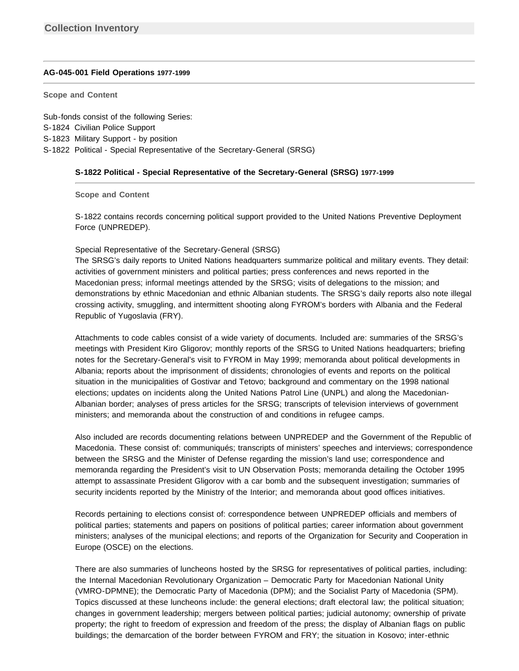## **[AG-045-001 Field Operations 1977-1999](http://search.archives.un.org/field-operations-7)**

**Scope and Content** 

Sub-fonds consist of the following Series: S-1824 Civilian Police Support S-1823 Military Support - by position S-1822 Political - Special Representative of the Secretary-General (SRSG)

## **S-1822 Political - Special Representative of the Secretary-General (SRSG) 1977-1999**

**Scope and Content** 

S-1822 contains records concerning political support provided to the United Nations Preventive Deployment Force (UNPREDEP).

## Special Representative of the Secretary-General (SRSG)

The SRSG's daily reports to United Nations headquarters summarize political and military events. They detail: activities of government ministers and political parties; press conferences and news reported in the Macedonian press; informal meetings attended by the SRSG; visits of delegations to the mission; and demonstrations by ethnic Macedonian and ethnic Albanian students. The SRSG's daily reports also note illegal crossing activity, smuggling, and intermittent shooting along FYROM's borders with Albania and the Federal Republic of Yugoslavia (FRY).

Attachments to code cables consist of a wide variety of documents. Included are: summaries of the SRSG's meetings with President Kiro Gligorov; monthly reports of the SRSG to United Nations headquarters; briefing notes for the Secretary-General's visit to FYROM in May 1999; memoranda about political developments in Albania; reports about the imprisonment of dissidents; chronologies of events and reports on the political situation in the municipalities of Gostivar and Tetovo; background and commentary on the 1998 national elections; updates on incidents along the United Nations Patrol Line (UNPL) and along the Macedonian-Albanian border; analyses of press articles for the SRSG; transcripts of television interviews of government ministers; and memoranda about the construction of and conditions in refugee camps.

Also included are records documenting relations between UNPREDEP and the Government of the Republic of Macedonia. These consist of: communiqués; transcripts of ministers' speeches and interviews; correspondence between the SRSG and the Minister of Defense regarding the mission's land use; correspondence and memoranda regarding the President's visit to UN Observation Posts; memoranda detailing the October 1995 attempt to assassinate President Gligorov with a car bomb and the subsequent investigation; summaries of security incidents reported by the Ministry of the Interior; and memoranda about good offices initiatives.

Records pertaining to elections consist of: correspondence between UNPREDEP officials and members of political parties; statements and papers on positions of political parties; career information about government ministers; analyses of the municipal elections; and reports of the Organization for Security and Cooperation in Europe (OSCE) on the elections.

There are also summaries of luncheons hosted by the SRSG for representatives of political parties, including: the Internal Macedonian Revolutionary Organization – Democratic Party for Macedonian National Unity (VMRO-DPMNE); the Democratic Party of Macedonia (DPM); and the Socialist Party of Macedonia (SPM). Topics discussed at these luncheons include: the general elections; draft electoral law; the political situation; changes in government leadership; mergers between political parties; judicial autonomy; ownership of private property; the right to freedom of expression and freedom of the press; the display of Albanian flags on public buildings; the demarcation of the border between FYROM and FRY; the situation in Kosovo; inter-ethnic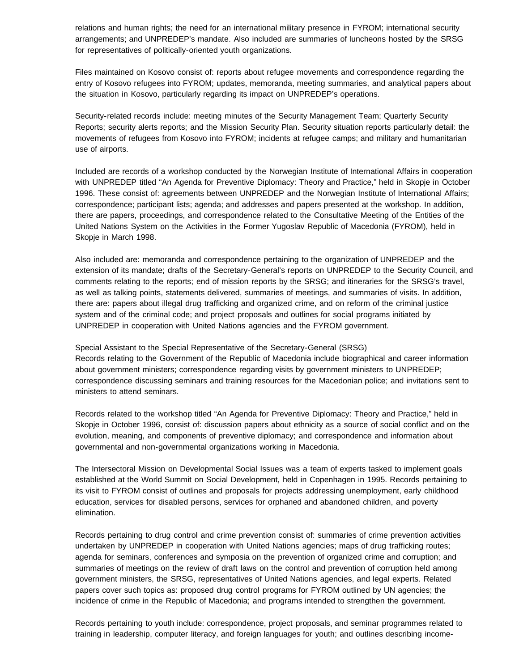relations and human rights; the need for an international military presence in FYROM; international security arrangements; and UNPREDEP's mandate. Also included are summaries of luncheons hosted by the SRSG for representatives of politically-oriented youth organizations.

Files maintained on Kosovo consist of: reports about refugee movements and correspondence regarding the entry of Kosovo refugees into FYROM; updates, memoranda, meeting summaries, and analytical papers about the situation in Kosovo, particularly regarding its impact on UNPREDEP's operations.

Security-related records include: meeting minutes of the Security Management Team; Quarterly Security Reports; security alerts reports; and the Mission Security Plan. Security situation reports particularly detail: the movements of refugees from Kosovo into FYROM; incidents at refugee camps; and military and humanitarian use of airports.

Included are records of a workshop conducted by the Norwegian Institute of International Affairs in cooperation with UNPREDEP titled "An Agenda for Preventive Diplomacy: Theory and Practice," held in Skopje in October 1996. These consist of: agreements between UNPREDEP and the Norwegian Institute of International Affairs; correspondence; participant lists; agenda; and addresses and papers presented at the workshop. In addition, there are papers, proceedings, and correspondence related to the Consultative Meeting of the Entities of the United Nations System on the Activities in the Former Yugoslav Republic of Macedonia (FYROM), held in Skopje in March 1998.

Also included are: memoranda and correspondence pertaining to the organization of UNPREDEP and the extension of its mandate; drafts of the Secretary-General's reports on UNPREDEP to the Security Council, and comments relating to the reports; end of mission reports by the SRSG; and itineraries for the SRSG's travel, as well as talking points, statements delivered, summaries of meetings, and summaries of visits. In addition, there are: papers about illegal drug trafficking and organized crime, and on reform of the criminal justice system and of the criminal code; and project proposals and outlines for social programs initiated by UNPREDEP in cooperation with United Nations agencies and the FYROM government.

Special Assistant to the Special Representative of the Secretary-General (SRSG) Records relating to the Government of the Republic of Macedonia include biographical and career information about government ministers; correspondence regarding visits by government ministers to UNPREDEP; correspondence discussing seminars and training resources for the Macedonian police; and invitations sent to ministers to attend seminars.

Records related to the workshop titled "An Agenda for Preventive Diplomacy: Theory and Practice," held in Skopje in October 1996, consist of: discussion papers about ethnicity as a source of social conflict and on the evolution, meaning, and components of preventive diplomacy; and correspondence and information about governmental and non-governmental organizations working in Macedonia.

The Intersectoral Mission on Developmental Social Issues was a team of experts tasked to implement goals established at the World Summit on Social Development, held in Copenhagen in 1995. Records pertaining to its visit to FYROM consist of outlines and proposals for projects addressing unemployment, early childhood education, services for disabled persons, services for orphaned and abandoned children, and poverty elimination.

Records pertaining to drug control and crime prevention consist of: summaries of crime prevention activities undertaken by UNPREDEP in cooperation with United Nations agencies; maps of drug trafficking routes; agenda for seminars, conferences and symposia on the prevention of organized crime and corruption; and summaries of meetings on the review of draft laws on the control and prevention of corruption held among government ministers, the SRSG, representatives of United Nations agencies, and legal experts. Related papers cover such topics as: proposed drug control programs for FYROM outlined by UN agencies; the incidence of crime in the Republic of Macedonia; and programs intended to strengthen the government.

Records pertaining to youth include: correspondence, project proposals, and seminar programmes related to training in leadership, computer literacy, and foreign languages for youth; and outlines describing income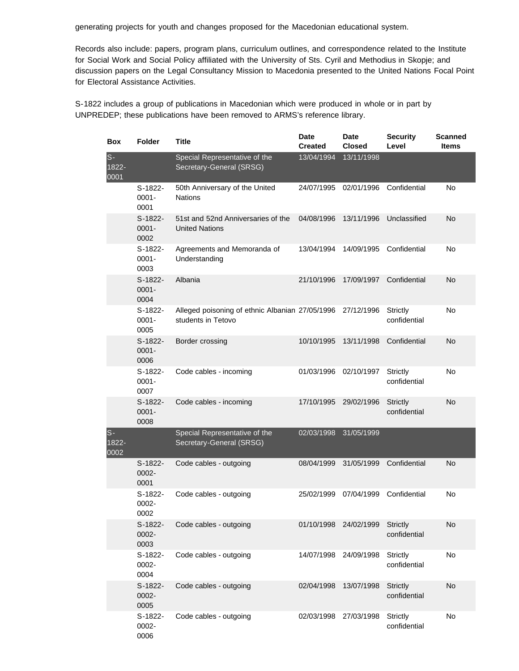generating projects for youth and changes proposed for the Macedonian educational system.

Records also include: papers, program plans, curriculum outlines, and correspondence related to the Institute for Social Work and Social Policy affiliated with the University of Sts. Cyril and Methodius in Skopje; and discussion papers on the Legal Consultancy Mission to Macedonia presented to the United Nations Focal Point for Electoral Assistance Activities.

S-1822 includes a group of publications in Macedonian which were produced in whole or in part by UNPREDEP; these publications have been removed to ARMS's reference library.

| <b>Box</b>             | <b>Folder</b>                 | Title                                                                 | Date<br><b>Created</b> | Date<br><b>Closed</b> | <b>Security</b><br>Level        | <b>Scanned</b><br><b>Items</b> |
|------------------------|-------------------------------|-----------------------------------------------------------------------|------------------------|-----------------------|---------------------------------|--------------------------------|
| $S -$<br>1822-<br>0001 |                               | Special Representative of the<br>Secretary-General (SRSG)             | 13/04/1994             | 13/11/1998            |                                 |                                |
|                        | $S-1822-$<br>$0001 -$<br>0001 | 50th Anniversary of the United<br><b>Nations</b>                      | 24/07/1995             | 02/01/1996            | Confidential                    | No                             |
|                        | $S-1822-$<br>$0001 -$<br>0002 | 51st and 52nd Anniversaries of the<br><b>United Nations</b>           | 04/08/1996             | 13/11/1996            | Unclassified                    | No                             |
|                        | S-1822-<br>$0001 -$<br>0003   | Agreements and Memoranda of<br>Understanding                          | 13/04/1994             | 14/09/1995            | Confidential                    | No                             |
|                        | S-1822-<br>$0001 -$<br>0004   | Albania                                                               | 21/10/1996             | 17/09/1997            | Confidential                    | No                             |
|                        | $S-1822-$<br>$0001 -$<br>0005 | Alleged poisoning of ethnic Albanian 27/05/1996<br>students in Tetovo |                        | 27/12/1996            | <b>Strictly</b><br>confidential | No                             |
|                        | $S-1822-$<br>$0001 -$<br>0006 | Border crossing                                                       | 10/10/1995             | 13/11/1998            | Confidential                    | No                             |
|                        | $S-1822-$<br>$0001 -$<br>0007 | Code cables - incoming                                                | 01/03/1996             | 02/10/1997            | Strictly<br>confidential        | No                             |
|                        | $S-1822-$<br>$0001 -$<br>0008 | Code cables - incoming                                                | 17/10/1995             | 29/02/1996            | <b>Strictly</b><br>confidential | No                             |
| $S-$<br>1822-<br>0002  |                               | Special Representative of the<br>Secretary-General (SRSG)             | 02/03/1998             | 31/05/1999            |                                 |                                |
|                        | S-1822-<br>0002-<br>0001      | Code cables - outgoing                                                | 08/04/1999             | 31/05/1999            | Confidential                    | No.                            |
|                        | S-1822-<br>0002-<br>0002      | Code cables - outgoing                                                | 25/02/1999             | 07/04/1999            | Confidential                    | No                             |
|                        | S-1822-<br>0002-<br>0003      | Code cables - outgoing                                                | 01/10/1998 24/02/1999  |                       | <b>Strictly</b><br>confidential | No                             |
|                        | S-1822-<br>0002-<br>0004      | Code cables - outgoing                                                | 14/07/1998             | 24/09/1998            | Strictly<br>confidential        | No                             |
|                        | S-1822-<br>0002-<br>0005      | Code cables - outgoing                                                | 02/04/1998             | 13/07/1998            | <b>Strictly</b><br>confidential | <b>No</b>                      |
|                        | S-1822-<br>0002-<br>0006      | Code cables - outgoing                                                | 02/03/1998             | 27/03/1998            | Strictly<br>confidential        | No                             |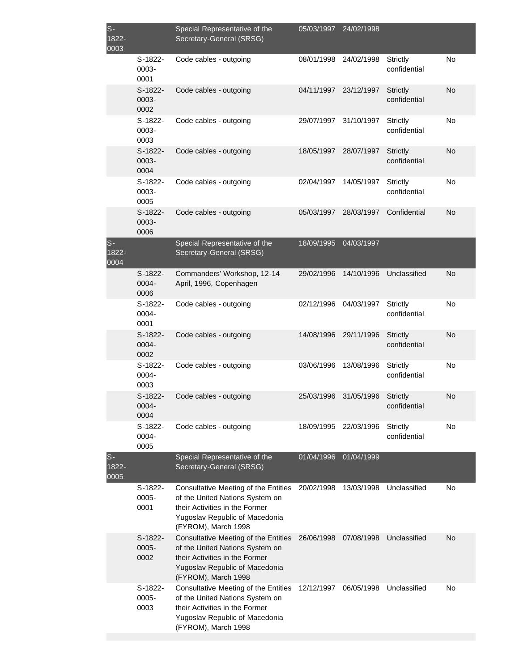| $S-$<br>1822-<br>0003 |                            | Special Representative of the<br>Secretary-General (SRSG)                                                                                                          | 05/03/1997 | 24/02/1998 |                                 |    |
|-----------------------|----------------------------|--------------------------------------------------------------------------------------------------------------------------------------------------------------------|------------|------------|---------------------------------|----|
|                       | S-1822-<br>0003-<br>0001   | Code cables - outgoing                                                                                                                                             | 08/01/1998 | 24/02/1998 | Strictly<br>confidential        | No |
|                       | $S-1822-$<br>0003-<br>0002 | Code cables - outgoing                                                                                                                                             | 04/11/1997 | 23/12/1997 | <b>Strictly</b><br>confidential | No |
|                       | S-1822-<br>0003-<br>0003   | Code cables - outgoing                                                                                                                                             | 29/07/1997 | 31/10/1997 | Strictly<br>confidential        | No |
|                       | S-1822-<br>0003-<br>0004   | Code cables - outgoing                                                                                                                                             | 18/05/1997 | 28/07/1997 | <b>Strictly</b><br>confidential | No |
|                       | S-1822-<br>0003-<br>0005   | Code cables - outgoing                                                                                                                                             | 02/04/1997 | 14/05/1997 | Strictly<br>confidential        | No |
|                       | $S-1822-$<br>0003-<br>0006 | Code cables - outgoing                                                                                                                                             | 05/03/1997 | 28/03/1997 | Confidential                    | No |
| $S-$<br>1822-<br>0004 |                            | Special Representative of the<br>Secretary-General (SRSG)                                                                                                          | 18/09/1995 | 04/03/1997 |                                 |    |
|                       | $S-1822-$<br>0004-<br>0006 | Commanders' Workshop, 12-14<br>April, 1996, Copenhagen                                                                                                             | 29/02/1996 | 14/10/1996 | Unclassified                    | No |
|                       | S-1822-<br>0004-<br>0001   | Code cables - outgoing                                                                                                                                             | 02/12/1996 | 04/03/1997 | <b>Strictly</b><br>confidential | No |
|                       | $S-1822-$<br>0004-<br>0002 | Code cables - outgoing                                                                                                                                             | 14/08/1996 | 29/11/1996 | Strictly<br>confidential        | No |
|                       | $S-1822-$<br>0004-<br>0003 | Code cables - outgoing                                                                                                                                             | 03/06/1996 | 13/08/1996 | Strictly<br>confidential        | No |
|                       | S-1822-<br>0004-<br>0004   | Code cables - outgoing                                                                                                                                             | 25/03/1996 | 31/05/1996 | <b>Strictly</b><br>confidential | No |
|                       | S-1822-<br>0004-<br>0005   | Code cables - outgoing                                                                                                                                             | 18/09/1995 | 22/03/1996 | Strictly<br>confidential        | No |
| $S-$<br>1822-<br>0005 |                            | Special Representative of the<br>Secretary-General (SRSG)                                                                                                          | 01/04/1996 | 01/04/1999 |                                 |    |
|                       | $S-1822-$<br>0005-<br>0001 | Consultative Meeting of the Entities<br>of the United Nations System on<br>their Activities in the Former<br>Yugoslav Republic of Macedonia<br>(FYROM), March 1998 | 20/02/1998 | 13/03/1998 | Unclassified                    | No |
|                       | S-1822-<br>0005-<br>0002   | Consultative Meeting of the Entities<br>of the United Nations System on<br>their Activities in the Former<br>Yugoslav Republic of Macedonia<br>(FYROM), March 1998 | 26/06/1998 | 07/08/1998 | Unclassified                    | No |
|                       | S-1822-<br>0005-<br>0003   | Consultative Meeting of the Entities<br>of the United Nations System on<br>their Activities in the Former<br>Yugoslav Republic of Macedonia<br>(FYROM), March 1998 | 12/12/1997 | 06/05/1998 | Unclassified                    | No |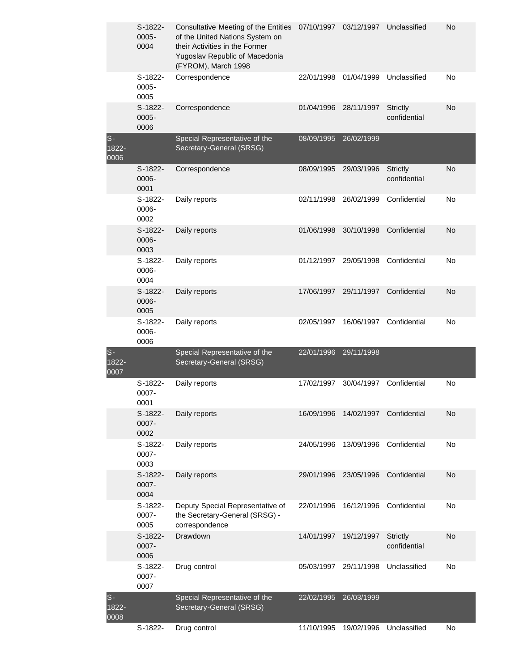|                        | S-1822-<br>$0005 -$<br>0004 | Consultative Meeting of the Entities<br>of the United Nations System on<br>their Activities in the Former<br>Yugoslav Republic of Macedonia<br>(FYROM), March 1998 | 07/10/1997 | 03/12/1997 | Unclassified                    | No |
|------------------------|-----------------------------|--------------------------------------------------------------------------------------------------------------------------------------------------------------------|------------|------------|---------------------------------|----|
|                        | S-1822-<br>0005-<br>0005    | Correspondence                                                                                                                                                     | 22/01/1998 | 01/04/1999 | Unclassified                    | No |
|                        | S-1822-<br>$0005 -$<br>0006 | Correspondence                                                                                                                                                     | 01/04/1996 | 28/11/1997 | <b>Strictly</b><br>confidential | No |
| $s-$<br>1822-<br>0006  |                             | Special Representative of the<br>Secretary-General (SRSG)                                                                                                          | 08/09/1995 | 26/02/1999 |                                 |    |
|                        | S-1822-<br>0006-<br>0001    | Correspondence                                                                                                                                                     | 08/09/1995 | 29/03/1996 | <b>Strictly</b><br>confidential | No |
|                        | S-1822-<br>0006-<br>0002    | Daily reports                                                                                                                                                      | 02/11/1998 | 26/02/1999 | Confidential                    | No |
|                        | S-1822-<br>0006-<br>0003    | Daily reports                                                                                                                                                      | 01/06/1998 | 30/10/1998 | Confidential                    | No |
|                        | S-1822-<br>0006-<br>0004    | Daily reports                                                                                                                                                      | 01/12/1997 | 29/05/1998 | Confidential                    | No |
|                        | S-1822-<br>0006-<br>0005    | Daily reports                                                                                                                                                      | 17/06/1997 | 29/11/1997 | Confidential                    | No |
|                        | S-1822-<br>0006-<br>0006    | Daily reports                                                                                                                                                      | 02/05/1997 | 16/06/1997 | Confidential                    | No |
| $S -$<br>1822-<br>0007 |                             | Special Representative of the<br>Secretary-General (SRSG)                                                                                                          | 22/01/1996 | 29/11/1998 |                                 |    |
|                        | S-1822-<br>0007-<br>0001    | Daily reports                                                                                                                                                      | 17/02/1997 | 30/04/1997 | Confidential                    | No |
|                        | S-1822-<br>0007-<br>0002    | Daily reports                                                                                                                                                      | 16/09/1996 | 14/02/1997 | Confidential                    | No |
|                        | S-1822-<br>0007-<br>0003    | Daily reports                                                                                                                                                      | 24/05/1996 | 13/09/1996 | Confidential                    | No |
|                        | S-1822-<br>0007-<br>0004    | Daily reports                                                                                                                                                      | 29/01/1996 | 23/05/1996 | Confidential                    | No |
|                        | S-1822-<br>0007-<br>0005    | Deputy Special Representative of<br>the Secretary-General (SRSG) -<br>correspondence                                                                               | 22/01/1996 | 16/12/1996 | Confidential                    | No |
|                        | S-1822-<br>0007-<br>0006    | Drawdown                                                                                                                                                           | 14/01/1997 | 19/12/1997 | <b>Strictly</b><br>confidential | No |
|                        | S-1822-<br>0007-<br>0007    | Drug control                                                                                                                                                       | 05/03/1997 | 29/11/1998 | Unclassified                    | No |
| $S -$<br>1822-<br>0008 |                             | Special Representative of the<br>Secretary-General (SRSG)                                                                                                          | 22/02/1995 | 26/03/1999 |                                 |    |
|                        | S-1822-                     | Drug control                                                                                                                                                       | 11/10/1995 | 19/02/1996 | Unclassified                    | No |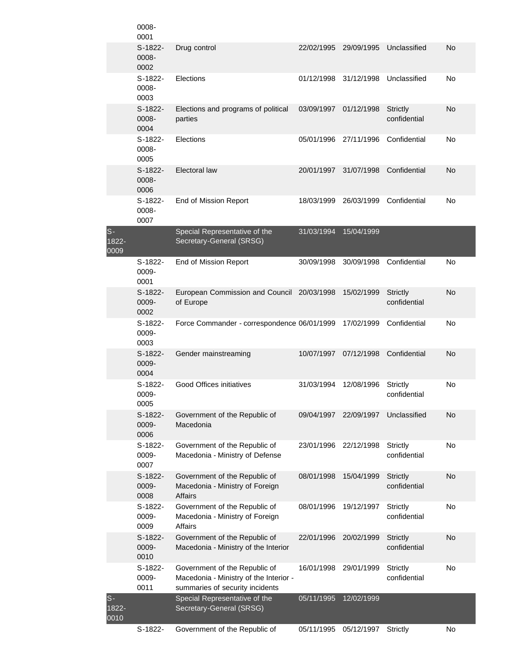|                          | 0008-<br>0001              |                                                                                                            |            |            |                                 |    |
|--------------------------|----------------------------|------------------------------------------------------------------------------------------------------------|------------|------------|---------------------------------|----|
|                          | S-1822-<br>0008-<br>0002   | Drug control                                                                                               | 22/02/1995 | 29/09/1995 | Unclassified                    | No |
|                          | S-1822-<br>0008-<br>0003   | Elections                                                                                                  | 01/12/1998 | 31/12/1998 | Unclassified                    | No |
|                          | S-1822-<br>0008-<br>0004   | Elections and programs of political<br>parties                                                             | 03/09/1997 | 01/12/1998 | Strictly<br>confidential        | No |
|                          | $S-1822-$<br>0008-<br>0005 | Elections                                                                                                  | 05/01/1996 | 27/11/1996 | Confidential                    | No |
|                          | $S-1822-$<br>0008-<br>0006 | Electoral law                                                                                              | 20/01/1997 | 31/07/1998 | Confidential                    | No |
|                          | S-1822-<br>0008-<br>0007   | End of Mission Report                                                                                      | 18/03/1999 | 26/03/1999 | Confidential                    | No |
| $S-$<br>$1822 -$<br>0009 |                            | Special Representative of the<br>Secretary-General (SRSG)                                                  | 31/03/1994 | 15/04/1999 |                                 |    |
|                          | $S-1822-$<br>0009-<br>0001 | End of Mission Report                                                                                      | 30/09/1998 | 30/09/1998 | Confidential                    | No |
|                          | S-1822-<br>0009-<br>0002   | European Commission and Council 20/03/1998<br>of Europe                                                    |            | 15/02/1999 | <b>Strictly</b><br>confidential | No |
|                          | S-1822-<br>0009-<br>0003   | Force Commander - correspondence 06/01/1999                                                                |            | 17/02/1999 | Confidential                    | No |
|                          | $S-1822-$<br>0009-<br>0004 | Gender mainstreaming                                                                                       | 10/07/1997 | 07/12/1998 | Confidential                    | No |
|                          | $S-1822-$<br>0009-<br>0005 | <b>Good Offices initiatives</b>                                                                            | 31/03/1994 | 12/08/1996 | Strictly<br>confidential        | No |
|                          | S-1822-<br>0009-<br>0006   | Government of the Republic of<br>Macedonia                                                                 | 09/04/1997 | 22/09/1997 | Unclassified                    | No |
|                          | S-1822-<br>0009-<br>0007   | Government of the Republic of<br>Macedonia - Ministry of Defense                                           | 23/01/1996 | 22/12/1998 | <b>Strictly</b><br>confidential | No |
|                          | S-1822-<br>0009-<br>0008   | Government of the Republic of<br>Macedonia - Ministry of Foreign<br><b>Affairs</b>                         | 08/01/1998 | 15/04/1999 | <b>Strictly</b><br>confidential | No |
|                          | S-1822-<br>0009-<br>0009   | Government of the Republic of<br>Macedonia - Ministry of Foreign<br><b>Affairs</b>                         | 08/01/1996 | 19/12/1997 | Strictly<br>confidential        | No |
|                          | S-1822-<br>0009-<br>0010   | Government of the Republic of<br>Macedonia - Ministry of the Interior                                      | 22/01/1996 | 20/02/1999 | <b>Strictly</b><br>confidential | No |
|                          | S-1822-<br>0009-<br>0011   | Government of the Republic of<br>Macedonia - Ministry of the Interior -<br>summaries of security incidents | 16/01/1998 | 29/01/1999 | Strictly<br>confidential        | No |
| $S -$<br>1822-<br>0010   |                            | Special Representative of the<br>Secretary-General (SRSG)                                                  | 05/11/1995 | 12/02/1999 |                                 |    |
|                          | S-1822-                    | Government of the Republic of                                                                              | 05/11/1995 | 05/12/1997 | Strictly                        | No |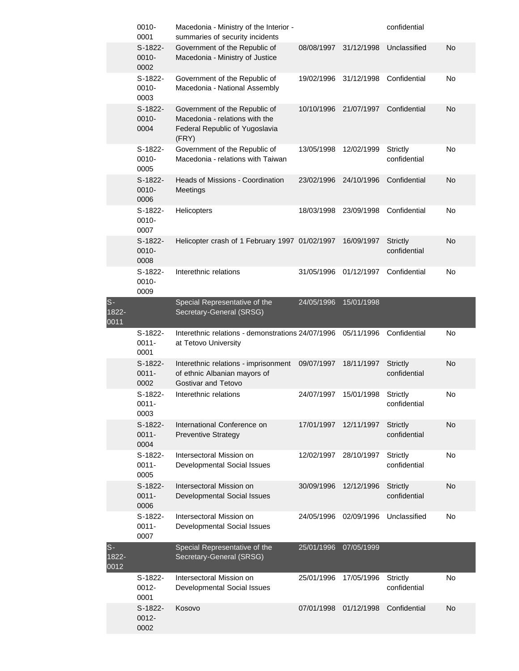|                           | 0010-<br>0001                 | Macedonia - Ministry of the Interior -<br>summaries of security incidents                                  |            |            | confidential                    |           |
|---------------------------|-------------------------------|------------------------------------------------------------------------------------------------------------|------------|------------|---------------------------------|-----------|
|                           | $S-1822-$<br>0010-<br>0002    | Government of the Republic of<br>Macedonia - Ministry of Justice                                           | 08/08/1997 | 31/12/1998 | Unclassified                    | No        |
|                           | S-1822-<br>0010-<br>0003      | Government of the Republic of<br>Macedonia - National Assembly                                             | 19/02/1996 | 31/12/1998 | Confidential                    | No        |
|                           | S-1822-<br>0010-<br>0004      | Government of the Republic of<br>Macedonia - relations with the<br>Federal Republic of Yugoslavia<br>(FRY) | 10/10/1996 | 21/07/1997 | Confidential                    | No        |
|                           | S-1822-<br>0010-<br>0005      | Government of the Republic of<br>Macedonia - relations with Taiwan                                         | 13/05/1998 | 12/02/1999 | Strictly<br>confidential        | No        |
|                           | $S-1822-$<br>0010-<br>0006    | <b>Heads of Missions - Coordination</b><br><b>Meetings</b>                                                 | 23/02/1996 | 24/10/1996 | Confidential                    | No        |
|                           | S-1822-<br>0010-<br>0007      | Helicopters                                                                                                | 18/03/1998 | 23/09/1998 | Confidential                    | No        |
|                           | S-1822-<br>0010-<br>0008      | Helicopter crash of 1 February 1997 01/02/1997                                                             |            | 16/09/1997 | <b>Strictly</b><br>confidential | No        |
|                           | S-1822-<br>0010-<br>0009      | Interethnic relations                                                                                      | 31/05/1996 | 01/12/1997 | Confidential                    | No        |
| $S-$<br>1822-<br>0011     |                               | Special Representative of the<br>Secretary-General (SRSG)                                                  | 24/05/1996 | 15/01/1998 |                                 |           |
|                           |                               |                                                                                                            |            |            |                                 |           |
|                           | S-1822-<br>$0011 -$<br>0001   | Interethnic relations - demonstrations 24/07/1996<br>at Tetovo University                                  |            | 05/11/1996 | Confidential                    | No        |
|                           | S-1822-<br>$0011 -$<br>0002   | Interethnic relations - imprisonment<br>of ethnic Albanian mayors of<br>Gostivar and Tetovo                | 09/07/1997 | 18/11/1997 | <b>Strictly</b><br>confidential | No        |
|                           | S-1822-<br>$0011 -$<br>0003   | Interethnic relations                                                                                      | 24/07/1997 | 15/01/1998 | Strictly<br>confidential        | No        |
|                           | $S-1822-$<br>$0011 -$<br>0004 | International Conference on<br><b>Preventive Strategy</b>                                                  | 17/01/1997 | 12/11/1997 | <b>Strictly</b><br>confidential | No        |
|                           | $S-1822-$<br>$0011 -$<br>0005 | Intersectoral Mission on<br>Developmental Social Issues                                                    | 12/02/1997 | 28/10/1997 | Strictly<br>confidential        | No        |
|                           | S-1822-<br>$0011 -$<br>0006   | Intersectoral Mission on<br>Developmental Social Issues                                                    | 30/09/1996 | 12/12/1996 | <b>Strictly</b><br>confidential | <b>No</b> |
|                           | S-1822-<br>$0011 -$<br>0007   | Intersectoral Mission on<br>Developmental Social Issues                                                    | 24/05/1996 | 02/09/1996 | Unclassified                    | No        |
| $S -$<br>$1822 -$<br>0012 |                               | Special Representative of the<br>Secretary-General (SRSG)                                                  | 25/01/1996 | 07/05/1999 |                                 |           |
|                           | S-1822-<br>$0012 -$<br>0001   | Intersectoral Mission on<br>Developmental Social Issues                                                    | 25/01/1996 | 17/05/1996 | Strictly<br>confidential        | No        |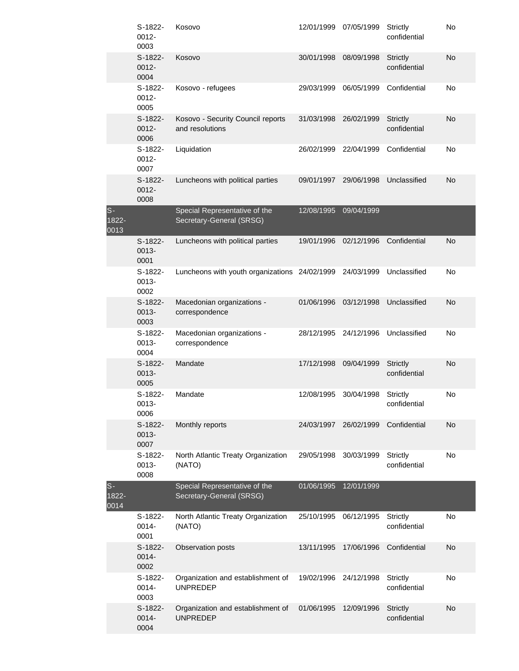|                     | S-1822-<br>$0012 -$<br>0003 | Kosovo                                                    | 12/01/1999 | 07/05/1999 | Strictly<br>confidential        | No |
|---------------------|-----------------------------|-----------------------------------------------------------|------------|------------|---------------------------------|----|
|                     | S-1822-<br>$0012 -$<br>0004 | Kosovo                                                    | 30/01/1998 | 08/09/1998 | <b>Strictly</b><br>confidential | No |
|                     | S-1822-<br>0012-<br>0005    | Kosovo - refugees                                         | 29/03/1999 | 06/05/1999 | Confidential                    | No |
|                     | S-1822-<br>$0012 -$<br>0006 | Kosovo - Security Council reports<br>and resolutions      | 31/03/1998 | 26/02/1999 | <b>Strictly</b><br>confidential | No |
|                     | S-1822-<br>0012-<br>0007    | Liquidation                                               | 26/02/1999 | 22/04/1999 | Confidential                    | No |
|                     | S-1822-<br>0012-<br>0008    | Luncheons with political parties                          | 09/01/1997 | 29/06/1998 | Unclassified                    | No |
| S-<br>1822-<br>0013 |                             | Special Representative of the<br>Secretary-General (SRSG) | 12/08/1995 | 09/04/1999 |                                 |    |
|                     | S-1822-<br>0013-<br>0001    | Luncheons with political parties                          | 19/01/1996 | 02/12/1996 | Confidential                    | No |
|                     | S-1822-<br>0013-<br>0002    | Luncheons with youth organizations 24/02/1999             |            | 24/03/1999 | Unclassified                    | No |
|                     | $S-1822-$<br>0013-<br>0003  | Macedonian organizations -<br>correspondence              | 01/06/1996 | 03/12/1998 | Unclassified                    | No |
|                     | S-1822-<br>0013-<br>0004    | Macedonian organizations -<br>correspondence              | 28/12/1995 | 24/12/1996 | Unclassified                    | No |
|                     | S-1822-<br>0013-<br>0005    | Mandate                                                   | 17/12/1998 | 09/04/1999 | <b>Strictly</b><br>confidential | No |
|                     | S-1822-<br>0013-<br>0006    | Mandate                                                   | 12/08/1995 | 30/04/1998 | Strictly<br>confidential        | No |
|                     | S-1822-<br>0013-<br>0007    | Monthly reports                                           | 24/03/1997 | 26/02/1999 | Confidential                    | No |
|                     | S-1822-<br>0013-<br>0008    | North Atlantic Treaty Organization<br>(NATO)              | 29/05/1998 | 30/03/1999 | <b>Strictly</b><br>confidential | No |
| S-<br>1822-<br>0014 |                             | Special Representative of the<br>Secretary-General (SRSG) | 01/06/1995 | 12/01/1999 |                                 |    |
|                     | S-1822-<br>0014-<br>0001    | North Atlantic Treaty Organization<br>(NATO)              | 25/10/1995 | 06/12/1995 | Strictly<br>confidential        | No |
|                     | $S-1822-$<br>0014-<br>0002  | Observation posts                                         | 13/11/1995 | 17/06/1996 | Confidential                    | No |
|                     | $S-1822-$<br>0014-<br>0003  | Organization and establishment of<br><b>UNPREDEP</b>      | 19/02/1996 | 24/12/1998 | <b>Strictly</b><br>confidential | No |
|                     | S-1822-<br>0014-<br>0004    | Organization and establishment of<br><b>UNPREDEP</b>      | 01/06/1995 | 12/09/1996 | <b>Strictly</b><br>confidential | No |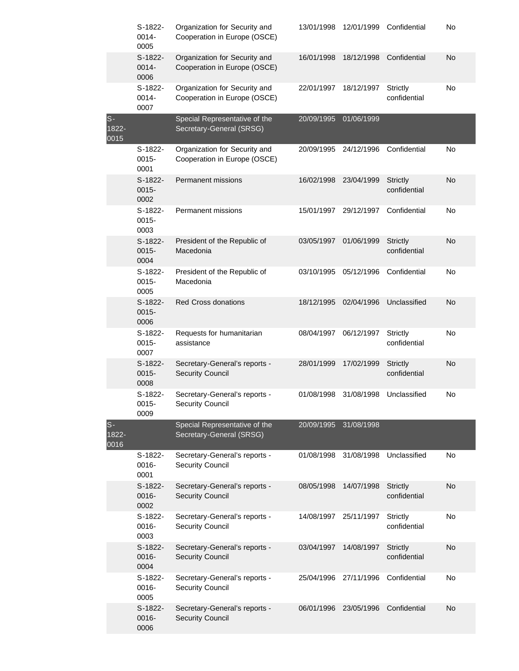|                        | S-1822-<br>0014-<br>0005      | Organization for Security and<br>Cooperation in Europe (OSCE) | 13/01/1998 | 12/01/1999 | Confidential                    | No |
|------------------------|-------------------------------|---------------------------------------------------------------|------------|------------|---------------------------------|----|
|                        | S-1822-<br>0014-<br>0006      | Organization for Security and<br>Cooperation in Europe (OSCE) | 16/01/1998 | 18/12/1998 | Confidential                    | No |
|                        | $S-1822-$<br>0014-<br>0007    | Organization for Security and<br>Cooperation in Europe (OSCE) | 22/01/1997 | 18/12/1997 | <b>Strictly</b><br>confidential | No |
| $S -$<br>1822-<br>0015 |                               | Special Representative of the<br>Secretary-General (SRSG)     | 20/09/1995 | 01/06/1999 |                                 |    |
|                        | S-1822-<br>$0015 -$<br>0001   | Organization for Security and<br>Cooperation in Europe (OSCE) | 20/09/1995 | 24/12/1996 | Confidential                    | No |
|                        | S-1822-<br>$0015 -$<br>0002   | <b>Permanent missions</b>                                     | 16/02/1998 | 23/04/1999 | <b>Strictly</b><br>confidential | No |
|                        | $S-1822-$<br>$0015 -$<br>0003 | <b>Permanent missions</b>                                     | 15/01/1997 | 29/12/1997 | Confidential                    | No |
|                        | S-1822-<br>$0015 -$<br>0004   | President of the Republic of<br>Macedonia                     | 03/05/1997 | 01/06/1999 | <b>Strictly</b><br>confidential | No |
|                        | S-1822-<br>$0015 -$<br>0005   | President of the Republic of<br>Macedonia                     | 03/10/1995 | 05/12/1996 | Confidential                    | No |
|                        | S-1822-<br>$0015 -$<br>0006   | <b>Red Cross donations</b>                                    | 18/12/1995 | 02/04/1996 | Unclassified                    | No |
|                        | S-1822-<br>$0015 -$<br>0007   | Requests for humanitarian<br>assistance                       | 08/04/1997 | 06/12/1997 | <b>Strictly</b><br>confidential | No |
|                        | S-1822-<br>$0015 -$<br>0008   | Secretary-General's reports -<br><b>Security Council</b>      | 28/01/1999 | 17/02/1999 | <b>Strictly</b><br>confidential | No |
|                        | S-1822-<br>$0015 -$<br>0009   | Secretary-General's reports -<br><b>Security Council</b>      | 01/08/1998 | 31/08/1998 | Unclassified                    | No |
| $S -$<br>1822-<br>0016 |                               | Special Representative of the<br>Secretary-General (SRSG)     | 20/09/1995 | 31/08/1998 |                                 |    |
|                        | S-1822-<br>0016-<br>0001      | Secretary-General's reports -<br><b>Security Council</b>      | 01/08/1998 | 31/08/1998 | Unclassified                    | No |
|                        | S-1822-<br>0016-<br>0002      | Secretary-General's reports -<br><b>Security Council</b>      | 08/05/1998 | 14/07/1998 | <b>Strictly</b><br>confidential | No |
|                        | S-1822-<br>0016-<br>0003      | Secretary-General's reports -<br><b>Security Council</b>      | 14/08/1997 | 25/11/1997 | Strictly<br>confidential        | No |
|                        | S-1822-<br>0016-<br>0004      | Secretary-General's reports -<br><b>Security Council</b>      | 03/04/1997 | 14/08/1997 | Strictly<br>confidential        | No |
|                        | S-1822-<br>0016-<br>0005      | Secretary-General's reports -<br><b>Security Council</b>      | 25/04/1996 | 27/11/1996 | Confidential                    | No |
|                        | S-1822-<br>0016-<br>0006      | Secretary-General's reports -<br><b>Security Council</b>      | 06/01/1996 | 23/05/1996 | Confidential                    | No |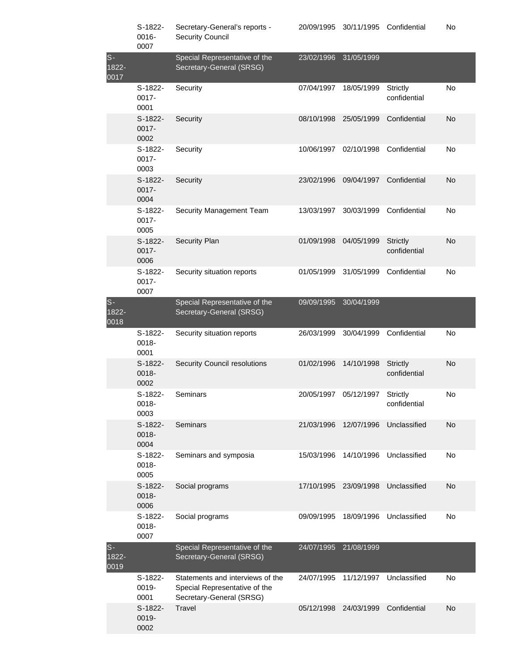|                        | S-1822-<br>0016-<br>0007    | Secretary-General's reports -<br><b>Security Council</b>                                      | 20/09/1995 | 30/11/1995 | Confidential             | No |
|------------------------|-----------------------------|-----------------------------------------------------------------------------------------------|------------|------------|--------------------------|----|
| $S -$<br>1822-<br>0017 |                             | Special Representative of the<br>Secretary-General (SRSG)                                     | 23/02/1996 | 31/05/1999 |                          |    |
|                        | S-1822-<br>$0017 -$<br>0001 | Security                                                                                      | 07/04/1997 | 18/05/1999 | Strictly<br>confidential | No |
|                        | S-1822-<br>$0017 -$<br>0002 | Security                                                                                      | 08/10/1998 | 25/05/1999 | Confidential             | No |
|                        | S-1822-<br>$0017 -$<br>0003 | Security                                                                                      | 10/06/1997 | 02/10/1998 | Confidential             | No |
|                        | S-1822-<br>0017-<br>0004    | Security                                                                                      | 23/02/1996 | 09/04/1997 | Confidential             | No |
|                        | S-1822-<br>$0017 -$<br>0005 | Security Management Team                                                                      | 13/03/1997 | 30/03/1999 | Confidential             | No |
|                        | S-1822-<br>$0017 -$<br>0006 | Security Plan                                                                                 | 01/09/1998 | 04/05/1999 | Strictly<br>confidential | No |
|                        | S-1822-<br>0017-<br>0007    | Security situation reports                                                                    | 01/05/1999 | 31/05/1999 | Confidential             | No |
| $s-$<br>1822-<br>0018  |                             | Special Representative of the<br>Secretary-General (SRSG)                                     | 09/09/1995 | 30/04/1999 |                          |    |
|                        | S-1822-<br>0018-<br>0001    | Security situation reports                                                                    | 26/03/1999 | 30/04/1999 | Confidential             | No |
|                        | S-1822-<br>0018-<br>0002    | <b>Security Council resolutions</b>                                                           | 01/02/1996 | 14/10/1998 | Strictly<br>confidential | No |
|                        | S-1822-<br>0018-<br>0003    | Seminars                                                                                      | 20/05/1997 | 05/12/1997 | Strictly<br>confidential | No |
|                        | S-1822-<br>0018-<br>0004    | Seminars                                                                                      | 21/03/1996 | 12/07/1996 | Unclassified             | No |
|                        | S-1822-<br>0018-<br>0005    | Seminars and symposia                                                                         | 15/03/1996 | 14/10/1996 | Unclassified             | No |
|                        | S-1822-<br>0018-<br>0006    | Social programs                                                                               | 17/10/1995 | 23/09/1998 | Unclassified             | No |
|                        | S-1822-<br>0018-<br>0007    | Social programs                                                                               | 09/09/1995 | 18/09/1996 | Unclassified             | No |
| $S-$<br>1822-<br>0019  |                             | Special Representative of the<br>Secretary-General (SRSG)                                     | 24/07/1995 | 21/08/1999 |                          |    |
|                        | S-1822-<br>0019-<br>0001    | Statements and interviews of the<br>Special Representative of the<br>Secretary-General (SRSG) | 24/07/1995 | 11/12/1997 | Unclassified             | No |
|                        | S-1822-<br>0019-<br>0002    | Travel                                                                                        | 05/12/1998 | 24/03/1999 | Confidential             | No |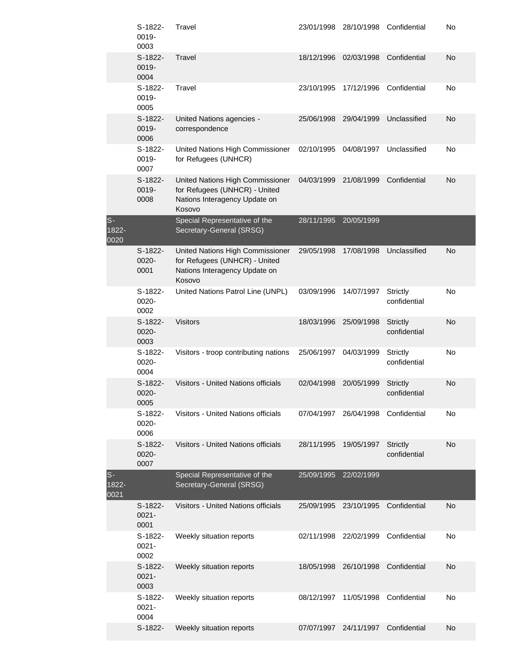|                          | S-1822-<br>0019-<br>0003      | Travel                                                                                                       | 23/01/1998 | 28/10/1998 | Confidential                    | No |
|--------------------------|-------------------------------|--------------------------------------------------------------------------------------------------------------|------------|------------|---------------------------------|----|
|                          | $S-1822-$<br>0019-<br>0004    | Travel                                                                                                       | 18/12/1996 | 02/03/1998 | Confidential                    | No |
|                          | S-1822-<br>0019-<br>0005      | Travel                                                                                                       | 23/10/1995 | 17/12/1996 | Confidential                    | No |
|                          | S-1822-<br>0019-<br>0006      | United Nations agencies -<br>correspondence                                                                  | 25/06/1998 | 29/04/1999 | Unclassified                    | No |
|                          | S-1822-<br>0019-<br>0007      | United Nations High Commissioner<br>for Refugees (UNHCR)                                                     | 02/10/1995 | 04/08/1997 | Unclassified                    | No |
|                          | S-1822-<br>0019-<br>0008      | United Nations High Commissioner<br>for Refugees (UNHCR) - United<br>Nations Interagency Update on<br>Kosovo | 04/03/1999 | 21/08/1999 | Confidential                    | No |
| $S-$<br>$1822 -$<br>0020 |                               | Special Representative of the<br>Secretary-General (SRSG)                                                    | 28/11/1995 | 20/05/1999 |                                 |    |
|                          | S-1822-<br>0020-<br>0001      | United Nations High Commissioner<br>for Refugees (UNHCR) - United<br>Nations Interagency Update on<br>Kosovo | 29/05/1998 | 17/08/1998 | Unclassified                    | No |
|                          | S-1822-<br>0020-<br>0002      | United Nations Patrol Line (UNPL)                                                                            | 03/09/1996 | 14/07/1997 | Strictly<br>confidential        | No |
|                          | S-1822-<br>0020-<br>0003      | <b>Visitors</b>                                                                                              | 18/03/1996 | 25/09/1998 | <b>Strictly</b><br>confidential | No |
|                          | S-1822-<br>0020-<br>0004      | Visitors - troop contributing nations                                                                        | 25/06/1997 | 04/03/1999 | Strictly<br>confidential        | No |
|                          | S-1822-<br>$0020 -$<br>0005   | Visitors - United Nations officials                                                                          | 02/04/1998 | 20/05/1999 | <b>Strictly</b><br>confidential | No |
|                          | S-1822-<br>0020-<br>0006      | Visitors - United Nations officials                                                                          | 07/04/1997 |            | 26/04/1998 Confidential         | No |
|                          | S-1822-<br>0020-<br>0007      | Visitors - United Nations officials                                                                          | 28/11/1995 | 19/05/1997 | <b>Strictly</b><br>confidential | No |
| $S-$<br>1822-<br>0021    |                               | Special Representative of the<br>Secretary-General (SRSG)                                                    | 25/09/1995 | 22/02/1999 |                                 |    |
|                          | $S-1822-$<br>$0021 -$<br>0001 | Visitors - United Nations officials                                                                          | 25/09/1995 | 23/10/1995 | Confidential                    | No |
|                          | S-1822-<br>$0021 -$<br>0002   | Weekly situation reports                                                                                     | 02/11/1998 | 22/02/1999 | Confidential                    | No |
|                          | S-1822-<br>$0021 -$<br>0003   | Weekly situation reports                                                                                     | 18/05/1998 | 26/10/1998 | Confidential                    | No |
|                          | S-1822-<br>$0021 -$<br>0004   | Weekly situation reports                                                                                     | 08/12/1997 | 11/05/1998 | Confidential                    | No |
|                          | S-1822-                       | Weekly situation reports                                                                                     | 07/07/1997 | 24/11/1997 | Confidential                    | No |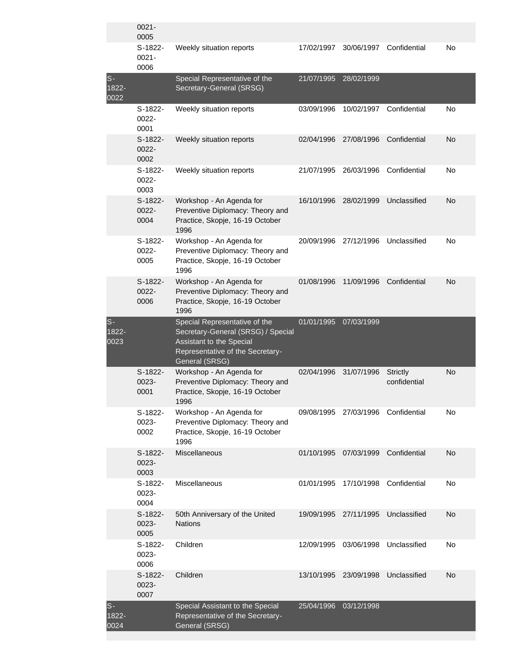|                        | $0021 -$<br>0005              |                                                                                                                                                       |            |            |                                 |    |
|------------------------|-------------------------------|-------------------------------------------------------------------------------------------------------------------------------------------------------|------------|------------|---------------------------------|----|
|                        | $S-1822-$<br>$0021 -$<br>0006 | Weekly situation reports                                                                                                                              | 17/02/1997 | 30/06/1997 | Confidential                    | No |
| $S -$<br>1822-<br>0022 |                               | Special Representative of the<br>Secretary-General (SRSG)                                                                                             | 21/07/1995 | 28/02/1999 |                                 |    |
|                        | S-1822-<br>0022-<br>0001      | Weekly situation reports                                                                                                                              | 03/09/1996 | 10/02/1997 | Confidential                    | No |
|                        | S-1822-<br>0022-<br>0002      | Weekly situation reports                                                                                                                              | 02/04/1996 | 27/08/1996 | Confidential                    | No |
|                        | S-1822-<br>0022-<br>0003      | Weekly situation reports                                                                                                                              | 21/07/1995 | 26/03/1996 | Confidential                    | No |
|                        | S-1822-<br>0022-<br>0004      | Workshop - An Agenda for<br>Preventive Diplomacy: Theory and<br>Practice, Skopje, 16-19 October<br>1996                                               | 16/10/1996 | 28/02/1999 | Unclassified                    | No |
|                        | S-1822-<br>0022-<br>0005      | Workshop - An Agenda for<br>Preventive Diplomacy: Theory and<br>Practice, Skopje, 16-19 October<br>1996                                               | 20/09/1996 | 27/12/1996 | Unclassified                    | No |
|                        | S-1822-<br>0022-<br>0006      | Workshop - An Agenda for<br>Preventive Diplomacy: Theory and<br>Practice, Skopje, 16-19 October<br>1996                                               | 01/08/1996 | 11/09/1996 | Confidential                    | No |
| $S -$<br>1822-<br>0023 |                               | Special Representative of the<br>Secretary-General (SRSG) / Special<br>Assistant to the Special<br>Representative of the Secretary-<br>General (SRSG) | 01/01/1995 | 07/03/1999 |                                 |    |
|                        | S-1822-<br>0023-<br>0001      | Workshop - An Agenda for<br>Preventive Diplomacy: Theory and<br>Practice, Skopje, 16-19 October<br>1996                                               | 02/04/1996 | 31/07/1996 | <b>Strictly</b><br>confidential | No |
|                        | S-1822-<br>0023-<br>0002      | Workshop - An Agenda for<br>Preventive Diplomacy: Theory and<br>Practice, Skopje, 16-19 October<br>1996                                               | 09/08/1995 | 27/03/1996 | Confidential                    | No |
|                        | S-1822-<br>0023-<br>0003      | Miscellaneous                                                                                                                                         | 01/10/1995 | 07/03/1999 | Confidential                    | No |
|                        | S-1822-<br>0023-<br>0004      | Miscellaneous                                                                                                                                         | 01/01/1995 | 17/10/1998 | Confidential                    | No |
|                        | S-1822-<br>0023-<br>0005      | 50th Anniversary of the United<br><b>Nations</b>                                                                                                      | 19/09/1995 | 27/11/1995 | Unclassified                    | No |
|                        | S-1822-<br>0023-<br>0006      | Children                                                                                                                                              | 12/09/1995 | 03/06/1998 | Unclassified                    | No |
|                        | S-1822-<br>0023-<br>0007      | Children                                                                                                                                              | 13/10/1995 | 23/09/1998 | Unclassified                    | No |
| $S -$<br>1822-<br>0024 |                               | Special Assistant to the Special<br>Representative of the Secretary-<br>General (SRSG)                                                                | 25/04/1996 | 03/12/1998 |                                 |    |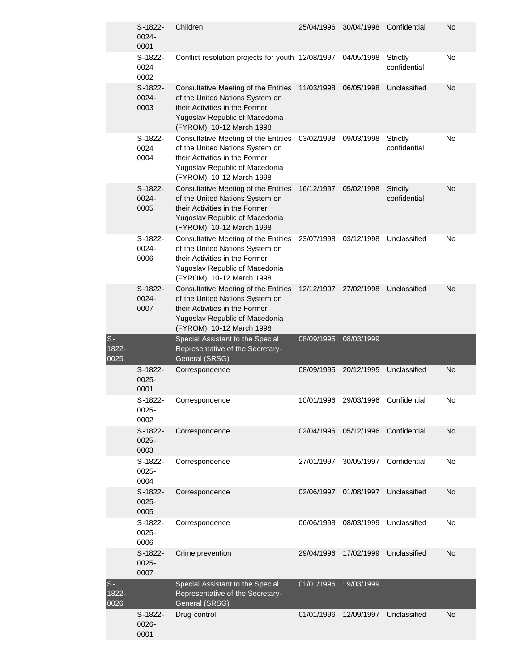|                       | $S-1822-$<br>0024-<br>0001    | Children                                                                                                                                                                 | 25/04/1996 | 30/04/1998 | Confidential                    | No        |
|-----------------------|-------------------------------|--------------------------------------------------------------------------------------------------------------------------------------------------------------------------|------------|------------|---------------------------------|-----------|
|                       | $S-1822-$<br>0024-<br>0002    | Conflict resolution projects for youth 12/08/1997                                                                                                                        |            | 04/05/1998 | Strictly<br>confidential        | No        |
|                       | S-1822-<br>0024-<br>0003      | Consultative Meeting of the Entities<br>of the United Nations System on<br>their Activities in the Former<br>Yugoslav Republic of Macedonia<br>(FYROM), 10-12 March 1998 | 11/03/1998 | 06/05/1998 | Unclassified                    | No        |
|                       | S-1822-<br>0024-<br>0004      | Consultative Meeting of the Entities<br>of the United Nations System on<br>their Activities in the Former<br>Yugoslav Republic of Macedonia<br>(FYROM), 10-12 March 1998 | 03/02/1998 | 09/03/1998 | Strictly<br>confidential        | No        |
|                       | S-1822-<br>0024-<br>0005      | Consultative Meeting of the Entities<br>of the United Nations System on<br>their Activities in the Former<br>Yugoslav Republic of Macedonia<br>(FYROM), 10-12 March 1998 | 16/12/1997 | 05/02/1998 | <b>Strictly</b><br>confidential | No        |
|                       | S-1822-<br>0024-<br>0006      | Consultative Meeting of the Entities<br>of the United Nations System on<br>their Activities in the Former<br>Yugoslav Republic of Macedonia<br>(FYROM), 10-12 March 1998 | 23/07/1998 | 03/12/1998 | Unclassified                    | No        |
|                       | $S-1822-$<br>0024-<br>0007    | Consultative Meeting of the Entities<br>of the United Nations System on<br>their Activities in the Former<br>Yugoslav Republic of Macedonia<br>(FYROM), 10-12 March 1998 | 12/12/1997 | 27/02/1998 | Unclassified                    | No        |
|                       |                               |                                                                                                                                                                          |            |            |                                 |           |
| $S-$<br>1822-<br>0025 |                               | Special Assistant to the Special<br>Representative of the Secretary-<br>General (SRSG)                                                                                   | 08/09/1995 | 08/03/1999 |                                 |           |
|                       | $S-1822-$<br>$0025 -$<br>0001 | Correspondence                                                                                                                                                           | 08/09/1995 | 20/12/1995 | Unclassified                    | <b>No</b> |
|                       | S-1822-<br>$0025 -$<br>0002   | Correspondence                                                                                                                                                           | 10/01/1996 | 29/03/1996 | Confidential                    | No        |
|                       | S-1822-<br>$0025 -$<br>0003   | Correspondence                                                                                                                                                           | 02/04/1996 | 05/12/1996 | Confidential                    | No        |
|                       | S-1822-<br>$0025 -$<br>0004   | Correspondence                                                                                                                                                           | 27/01/1997 | 30/05/1997 | Confidential                    | No        |
|                       | S-1822-<br>$0025 -$<br>0005   | Correspondence                                                                                                                                                           | 02/06/1997 | 01/08/1997 | Unclassified                    | No        |
|                       | S-1822-<br>$0025 -$<br>0006   | Correspondence                                                                                                                                                           | 06/06/1998 | 08/03/1999 | Unclassified                    | No        |
|                       | S-1822-<br>$0025 -$<br>0007   | Crime prevention                                                                                                                                                         | 29/04/1996 | 17/02/1999 | Unclassified                    | No        |
| $S-$<br>1822-<br>0026 |                               | Special Assistant to the Special<br>Representative of the Secretary-<br>General (SRSG)<br>Drug control                                                                   | 01/01/1996 | 19/03/1999 |                                 |           |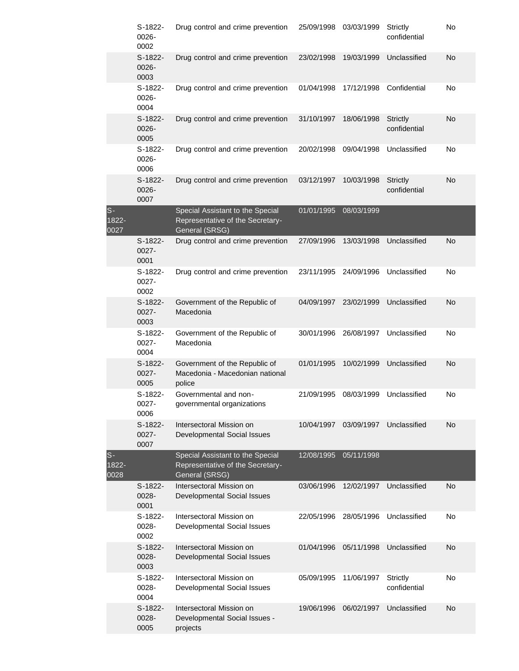|                        | S-1822-<br>0026-<br>0002    | Drug control and crime prevention                                                      | 25/09/1998 | 03/03/1999 | Strictly<br>confidential        | No |
|------------------------|-----------------------------|----------------------------------------------------------------------------------------|------------|------------|---------------------------------|----|
|                        | S-1822-<br>0026-<br>0003    | Drug control and crime prevention                                                      | 23/02/1998 | 19/03/1999 | Unclassified                    | No |
|                        | S-1822-<br>0026-<br>0004    | Drug control and crime prevention                                                      | 01/04/1998 | 17/12/1998 | Confidential                    | No |
|                        | S-1822-<br>0026-<br>0005    | Drug control and crime prevention                                                      | 31/10/1997 | 18/06/1998 | <b>Strictly</b><br>confidential | No |
|                        | S-1822-<br>0026-<br>0006    | Drug control and crime prevention                                                      | 20/02/1998 | 09/04/1998 | Unclassified                    | No |
|                        | S-1822-<br>0026-<br>0007    | Drug control and crime prevention                                                      | 03/12/1997 | 10/03/1998 | <b>Strictly</b><br>confidential | No |
| $S -$<br>1822-<br>0027 |                             | Special Assistant to the Special<br>Representative of the Secretary-<br>General (SRSG) | 01/01/1995 | 08/03/1999 |                                 |    |
|                        | S-1822-<br>$0027 -$<br>0001 | Drug control and crime prevention                                                      | 27/09/1996 | 13/03/1998 | Unclassified                    | No |
|                        | S-1822-<br>0027-<br>0002    | Drug control and crime prevention                                                      | 23/11/1995 | 24/09/1996 | Unclassified                    | No |
|                        | S-1822-<br>$0027 -$<br>0003 | Government of the Republic of<br>Macedonia                                             | 04/09/1997 | 23/02/1999 | Unclassified                    | No |
|                        | S-1822-<br>0027-<br>0004    | Government of the Republic of<br>Macedonia                                             | 30/01/1996 | 26/08/1997 | Unclassified                    | No |
|                        | S-1822-<br>$0027 -$<br>0005 | Government of the Republic of<br>Macedonia - Macedonian national<br>police             | 01/01/1995 | 10/02/1999 | Unclassified                    | No |
|                        | S-1822-<br>0027-<br>0006    | Governmental and non-<br>governmental organizations                                    | 21/09/1995 | 08/03/1999 | Unclassified                    | No |
|                        | S-1822-<br>$0027 -$<br>0007 | Intersectoral Mission on<br>Developmental Social Issues                                | 10/04/1997 | 03/09/1997 | Unclassified                    | No |
| $S -$<br>1822-<br>0028 |                             | Special Assistant to the Special<br>Representative of the Secretary-<br>General (SRSG) | 12/08/1995 | 05/11/1998 |                                 |    |
|                        | S-1822-<br>0028-<br>0001    | Intersectoral Mission on<br>Developmental Social Issues                                | 03/06/1996 | 12/02/1997 | Unclassified                    | No |
|                        | S-1822-<br>0028-<br>0002    | Intersectoral Mission on<br>Developmental Social Issues                                | 22/05/1996 | 28/05/1996 | Unclassified                    | No |
|                        | S-1822-<br>0028-<br>0003    | Intersectoral Mission on<br>Developmental Social Issues                                | 01/04/1996 | 05/11/1998 | Unclassified                    | No |
|                        | S-1822-<br>0028-<br>0004    | Intersectoral Mission on<br>Developmental Social Issues                                | 05/09/1995 | 11/06/1997 | Strictly<br>confidential        | No |
|                        | S-1822-<br>0028-<br>0005    | Intersectoral Mission on<br>Developmental Social Issues -<br>projects                  | 19/06/1996 | 06/02/1997 | Unclassified                    | No |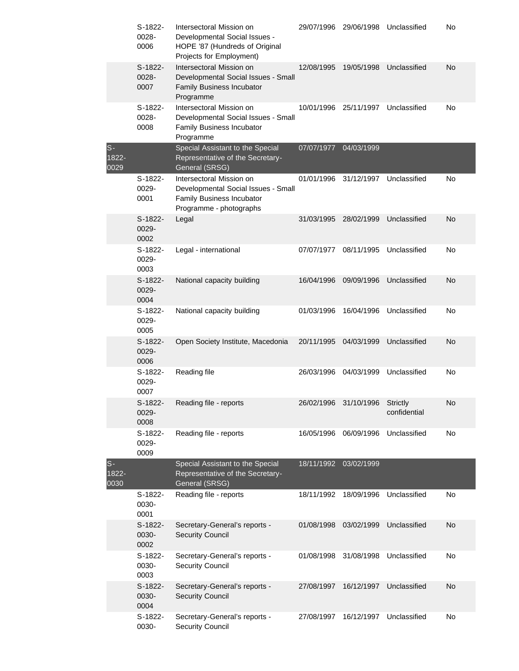|                        | S-1822-<br>0028-<br>0006   | Intersectoral Mission on<br>Developmental Social Issues -<br>HOPE '87 (Hundreds of Original<br>Projects for Employment) | 29/07/1996 | 29/06/1998 | Unclassified             | No |
|------------------------|----------------------------|-------------------------------------------------------------------------------------------------------------------------|------------|------------|--------------------------|----|
|                        | $S-1822-$<br>0028-<br>0007 | Intersectoral Mission on<br>Developmental Social Issues - Small<br><b>Family Business Incubator</b><br>Programme        | 12/08/1995 | 19/05/1998 | Unclassified             | No |
|                        | S-1822-<br>0028-<br>0008   | Intersectoral Mission on<br>Developmental Social Issues - Small<br><b>Family Business Incubator</b><br>Programme        | 10/01/1996 | 25/11/1997 | Unclassified             | No |
| $S -$<br>1822-<br>0029 |                            | Special Assistant to the Special<br>Representative of the Secretary-<br>General (SRSG)                                  | 07/07/1977 | 04/03/1999 |                          |    |
|                        | S-1822-<br>0029-<br>0001   | Intersectoral Mission on<br>Developmental Social Issues - Small<br>Family Business Incubator<br>Programme - photographs | 01/01/1996 | 31/12/1997 | Unclassified             | No |
|                        | S-1822-<br>0029-<br>0002   | Legal                                                                                                                   | 31/03/1995 | 28/02/1999 | Unclassified             | No |
|                        | S-1822-<br>0029-<br>0003   | Legal - international                                                                                                   | 07/07/1977 | 08/11/1995 | Unclassified             | No |
|                        | S-1822-<br>0029-<br>0004   | National capacity building                                                                                              | 16/04/1996 | 09/09/1996 | Unclassified             | No |
|                        | S-1822-<br>0029-<br>0005   | National capacity building                                                                                              | 01/03/1996 | 16/04/1996 | Unclassified             | No |
|                        | S-1822-<br>0029-<br>0006   | Open Society Institute, Macedonia                                                                                       | 20/11/1995 | 04/03/1999 | Unclassified             | No |
|                        | S-1822-<br>0029-<br>0007   | Reading file                                                                                                            | 26/03/1996 | 04/03/1999 | Unclassified             | No |
|                        | S-1822-<br>0029-<br>0008   | Reading file - reports                                                                                                  | 26/02/1996 | 31/10/1996 | Strictly<br>confidential | No |
|                        | S-1822-<br>0029-<br>0009   | Reading file - reports                                                                                                  | 16/05/1996 | 06/09/1996 | Unclassified             | No |
| $S-$<br>1822-<br>0030  |                            | Special Assistant to the Special<br>Representative of the Secretary-<br>General (SRSG)                                  | 18/11/1992 | 03/02/1999 |                          |    |
|                        | S-1822-<br>0030-<br>0001   | Reading file - reports                                                                                                  | 18/11/1992 | 18/09/1996 | Unclassified             | No |
|                        | S-1822-<br>0030-<br>0002   | Secretary-General's reports -<br><b>Security Council</b>                                                                | 01/08/1998 | 03/02/1999 | Unclassified             | No |
|                        | S-1822-<br>0030-<br>0003   | Secretary-General's reports -<br><b>Security Council</b>                                                                | 01/08/1998 | 31/08/1998 | Unclassified             | No |
|                        | S-1822-<br>0030-<br>0004   | Secretary-General's reports -<br><b>Security Council</b>                                                                | 27/08/1997 | 16/12/1997 | Unclassified             | No |
|                        | S-1822-<br>0030-           | Secretary-General's reports -<br><b>Security Council</b>                                                                | 27/08/1997 | 16/12/1997 | Unclassified             | No |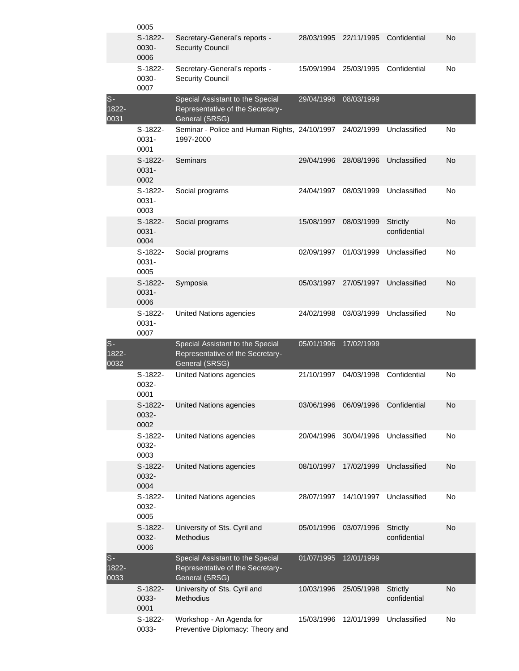|                           | 0005                          |                                                                                        |            |            |                                 |    |
|---------------------------|-------------------------------|----------------------------------------------------------------------------------------|------------|------------|---------------------------------|----|
|                           | $S-1822-$<br>0030-<br>0006    | Secretary-General's reports -<br><b>Security Council</b>                               | 28/03/1995 | 22/11/1995 | Confidential                    | No |
|                           | S-1822-<br>0030-<br>0007      | Secretary-General's reports -<br><b>Security Council</b>                               | 15/09/1994 | 25/03/1995 | Confidential                    | No |
| $S -$<br>$1822 -$<br>0031 |                               | Special Assistant to the Special<br>Representative of the Secretary-<br>General (SRSG) | 29/04/1996 | 08/03/1999 |                                 |    |
|                           | S-1822-<br>$0031 -$<br>0001   | Seminar - Police and Human Rights, 24/10/1997<br>1997-2000                             |            | 24/02/1999 | Unclassified                    | No |
|                           | $S-1822-$<br>$0031 -$<br>0002 | Seminars                                                                               | 29/04/1996 | 28/08/1996 | Unclassified                    | No |
|                           | S-1822-<br>$0031 -$<br>0003   | Social programs                                                                        | 24/04/1997 | 08/03/1999 | Unclassified                    | No |
|                           | S-1822-<br>$0031 -$<br>0004   | Social programs                                                                        | 15/08/1997 | 08/03/1999 | Strictly<br>confidential        | No |
|                           | S-1822-<br>$0031 -$<br>0005   | Social programs                                                                        | 02/09/1997 | 01/03/1999 | Unclassified                    | No |
|                           | S-1822-<br>$0031 -$<br>0006   | Symposia                                                                               | 05/03/1997 | 27/05/1997 | Unclassified                    | No |
|                           | S-1822-<br>$0031 -$<br>0007   | United Nations agencies                                                                | 24/02/1998 | 03/03/1999 | Unclassified                    | No |
| $S -$<br>$1822 -$<br>0032 |                               | Special Assistant to the Special<br>Representative of the Secretary-<br>General (SRSG) | 05/01/1996 | 17/02/1999 |                                 |    |
|                           | S-1822-<br>0032-<br>0001      | <b>United Nations agencies</b>                                                         | 21/10/1997 | 04/03/1998 | Confidential                    | No |
|                           | S-1822-<br>0032-<br>0002      | United Nations agencies                                                                | 03/06/1996 | 06/09/1996 | Confidential                    | No |
|                           | S-1822-<br>0032-<br>0003      | United Nations agencies                                                                | 20/04/1996 | 30/04/1996 | Unclassified                    | No |
|                           | S-1822-<br>0032-<br>0004      | <b>United Nations agencies</b>                                                         | 08/10/1997 | 17/02/1999 | Unclassified                    | No |
|                           | S-1822-<br>0032-<br>0005      | United Nations agencies                                                                | 28/07/1997 | 14/10/1997 | Unclassified                    | No |
|                           | S-1822-<br>0032-<br>0006      | University of Sts. Cyril and<br>Methodius                                              | 05/01/1996 | 03/07/1996 | <b>Strictly</b><br>confidential | No |
| $S -$<br>1822-<br>0033    |                               | Special Assistant to the Special<br>Representative of the Secretary-<br>General (SRSG) | 01/07/1995 | 12/01/1999 |                                 |    |
|                           | S-1822-<br>0033-<br>0001      | University of Sts. Cyril and<br>Methodius                                              | 10/03/1996 | 25/05/1998 | <b>Strictly</b><br>confidential | No |
|                           | S-1822-<br>0033-              | Workshop - An Agenda for<br>Preventive Diplomacy: Theory and                           | 15/03/1996 | 12/01/1999 | Unclassified                    | No |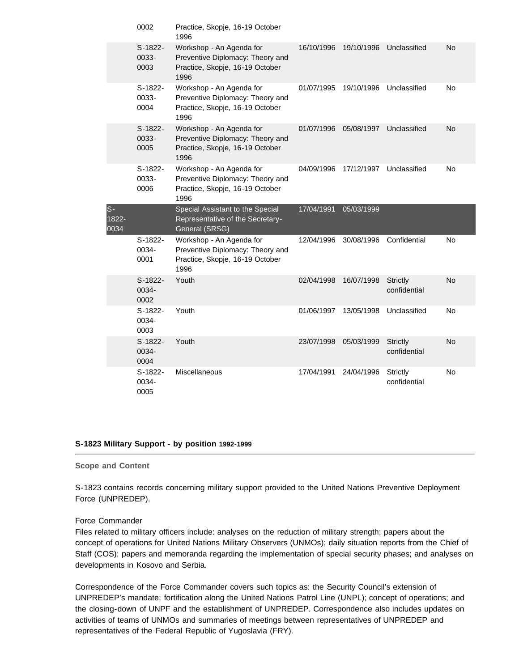|                       | 0002                       | Practice, Skopje, 16-19 October<br>1996                                                                 |            |            |                                 |           |
|-----------------------|----------------------------|---------------------------------------------------------------------------------------------------------|------------|------------|---------------------------------|-----------|
|                       | S-1822-<br>0033-<br>0003   | Workshop - An Agenda for<br>Preventive Diplomacy: Theory and<br>Practice, Skopje, 16-19 October<br>1996 | 16/10/1996 | 19/10/1996 | Unclassified                    | <b>No</b> |
|                       | S-1822-<br>0033-<br>0004   | Workshop - An Agenda for<br>Preventive Diplomacy: Theory and<br>Practice, Skopje, 16-19 October<br>1996 | 01/07/1995 | 19/10/1996 | Unclassified                    | <b>No</b> |
|                       | S-1822-<br>0033-<br>0005   | Workshop - An Agenda for<br>Preventive Diplomacy: Theory and<br>Practice, Skopje, 16-19 October<br>1996 | 01/07/1996 | 05/08/1997 | Unclassified                    | <b>No</b> |
|                       | $S-1822-$<br>0033-<br>0006 | Workshop - An Agenda for<br>Preventive Diplomacy: Theory and<br>Practice, Skopje, 16-19 October<br>1996 | 04/09/1996 | 17/12/1997 | Unclassified                    | No        |
| $S-$<br>1822-<br>0034 |                            | Special Assistant to the Special<br>Representative of the Secretary-<br>General (SRSG)                  | 17/04/1991 | 05/03/1999 |                                 |           |
|                       | S-1822-<br>0034-<br>0001   | Workshop - An Agenda for<br>Preventive Diplomacy: Theory and<br>Practice, Skopje, 16-19 October<br>1996 | 12/04/1996 | 30/08/1996 | Confidential                    | No        |
|                       | S-1822-<br>0034-<br>0002   | Youth                                                                                                   | 02/04/1998 | 16/07/1998 | <b>Strictly</b><br>confidential | <b>No</b> |
|                       | S-1822-<br>0034-<br>0003   | Youth                                                                                                   | 01/06/1997 | 13/05/1998 | Unclassified                    | No        |
|                       | S-1822-<br>0034-<br>0004   | Youth                                                                                                   | 23/07/1998 | 05/03/1999 | <b>Strictly</b><br>confidential | No        |
|                       | S-1822-<br>0034-<br>0005   | <b>Miscellaneous</b>                                                                                    | 17/04/1991 | 24/04/1996 | Strictly<br>confidential        | <b>No</b> |

#### **S-1823 Military Support - by position 1992-1999**

#### **Scope and Content**

S-1823 contains records concerning military support provided to the United Nations Preventive Deployment Force (UNPREDEP).

#### Force Commander

Files related to military officers include: analyses on the reduction of military strength; papers about the concept of operations for United Nations Military Observers (UNMOs); daily situation reports from the Chief of Staff (COS); papers and memoranda regarding the implementation of special security phases; and analyses on developments in Kosovo and Serbia.

Correspondence of the Force Commander covers such topics as: the Security Council's extension of UNPREDEP's mandate; fortification along the United Nations Patrol Line (UNPL); concept of operations; and the closing-down of UNPF and the establishment of UNPREDEP. Correspondence also includes updates on activities of teams of UNMOs and summaries of meetings between representatives of UNPREDEP and representatives of the Federal Republic of Yugoslavia (FRY).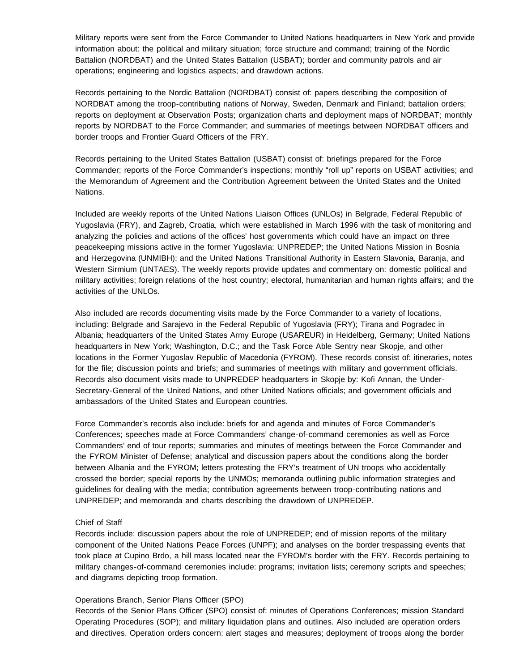Military reports were sent from the Force Commander to United Nations headquarters in New York and provide information about: the political and military situation; force structure and command; training of the Nordic Battalion (NORDBAT) and the United States Battalion (USBAT); border and community patrols and air operations; engineering and logistics aspects; and drawdown actions.

Records pertaining to the Nordic Battalion (NORDBAT) consist of: papers describing the composition of NORDBAT among the troop-contributing nations of Norway, Sweden, Denmark and Finland; battalion orders; reports on deployment at Observation Posts; organization charts and deployment maps of NORDBAT; monthly reports by NORDBAT to the Force Commander; and summaries of meetings between NORDBAT officers and border troops and Frontier Guard Officers of the FRY.

Records pertaining to the United States Battalion (USBAT) consist of: briefings prepared for the Force Commander; reports of the Force Commander's inspections; monthly "roll up" reports on USBAT activities; and the Memorandum of Agreement and the Contribution Agreement between the United States and the United Nations.

Included are weekly reports of the United Nations Liaison Offices (UNLOs) in Belgrade, Federal Republic of Yugoslavia (FRY), and Zagreb, Croatia, which were established in March 1996 with the task of monitoring and analyzing the policies and actions of the offices' host governments which could have an impact on three peacekeeping missions active in the former Yugoslavia: UNPREDEP; the United Nations Mission in Bosnia and Herzegovina (UNMIBH); and the United Nations Transitional Authority in Eastern Slavonia, Baranja, and Western Sirmium (UNTAES). The weekly reports provide updates and commentary on: domestic political and military activities; foreign relations of the host country; electoral, humanitarian and human rights affairs; and the activities of the UNLOs.

Also included are records documenting visits made by the Force Commander to a variety of locations, including: Belgrade and Sarajevo in the Federal Republic of Yugoslavia (FRY); Tirana and Pogradec in Albania; headquarters of the United States Army Europe (USAREUR) in Heidelberg, Germany; United Nations headquarters in New York; Washington, D.C.; and the Task Force Able Sentry near Skopje, and other locations in the Former Yugoslav Republic of Macedonia (FYROM). These records consist of: itineraries, notes for the file; discussion points and briefs; and summaries of meetings with military and government officials. Records also document visits made to UNPREDEP headquarters in Skopje by: Kofi Annan, the Under-Secretary-General of the United Nations, and other United Nations officials; and government officials and ambassadors of the United States and European countries.

Force Commander's records also include: briefs for and agenda and minutes of Force Commander's Conferences; speeches made at Force Commanders' change-of-command ceremonies as well as Force Commanders' end of tour reports; summaries and minutes of meetings between the Force Commander and the FYROM Minister of Defense; analytical and discussion papers about the conditions along the border between Albania and the FYROM; letters protesting the FRY's treatment of UN troops who accidentally crossed the border; special reports by the UNMOs; memoranda outlining public information strategies and guidelines for dealing with the media; contribution agreements between troop-contributing nations and UNPREDEP; and memoranda and charts describing the drawdown of UNPREDEP.

#### Chief of Staff

Records include: discussion papers about the role of UNPREDEP; end of mission reports of the military component of the United Nations Peace Forces (UNPF); and analyses on the border trespassing events that took place at Cupino Brdo, a hill mass located near the FYROM's border with the FRY. Records pertaining to military changes-of-command ceremonies include: programs; invitation lists; ceremony scripts and speeches; and diagrams depicting troop formation.

#### Operations Branch, Senior Plans Officer (SPO)

Records of the Senior Plans Officer (SPO) consist of: minutes of Operations Conferences; mission Standard Operating Procedures (SOP); and military liquidation plans and outlines. Also included are operation orders and directives. Operation orders concern: alert stages and measures; deployment of troops along the border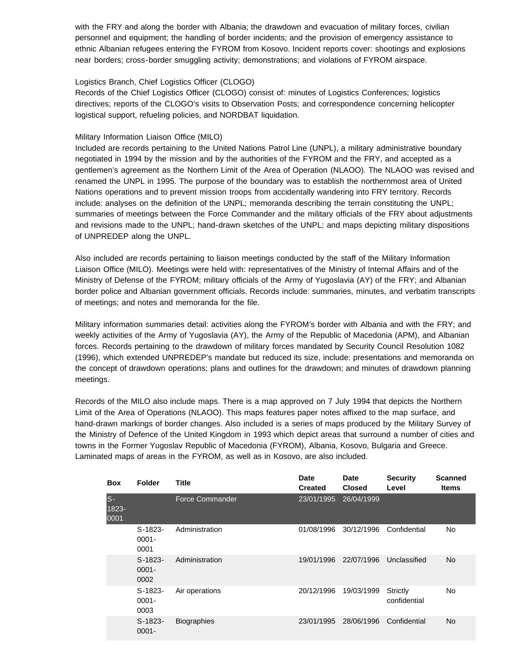with the FRY and along the border with Albania; the drawdown and evacuation of military forces, civilian personnel and equipment; the handling of border incidents; and the provision of emergency assistance to ethnic Albanian refugees entering the FYROM from Kosovo. Incident reports cover: shootings and explosions near borders; cross-border smuggling activity; demonstrations; and violations of FYROM airspace.

## Logistics Branch, Chief Logistics Officer (CLOGO)

Records of the Chief Logistics Officer (CLOGO) consist of: minutes of Logistics Conferences; logistics directives; reports of the CLOGO's visits to Observation Posts; and correspondence concerning helicopter logistical support, refueling policies, and NORDBAT liquidation.

## Military Information Liaison Office (MILO)

Included are records pertaining to the United Nations Patrol Line (UNPL), a military administrative boundary negotiated in 1994 by the mission and by the authorities of the FYROM and the FRY, and accepted as a gentlemen's agreement as the Northern Limit of the Area of Operation (NLAOO). The NLAOO was revised and renamed the UNPL in 1995. The purpose of the boundary was to establish the northernmost area of United Nations operations and to prevent mission troops from accidentally wandering into FRY territory. Records include: analyses on the definition of the UNPL; memoranda describing the terrain constituting the UNPL; summaries of meetings between the Force Commander and the military officials of the FRY about adjustments and revisions made to the UNPL; hand-drawn sketches of the UNPL; and maps depicting military dispositions of UNPREDEP along the UNPL.

Also included are records pertaining to liaison meetings conducted by the staff of the Military Information Liaison Office (MILO). Meetings were held with: representatives of the Ministry of Internal Affairs and of the Ministry of Defense of the FYROM; military officials of the Army of Yugoslavia (AY) of the FRY; and Albanian border police and Albanian government officials. Records include: summaries, minutes, and verbatim transcripts of meetings; and notes and memoranda for the file.

Military information summaries detail: activities along the FYROM's border with Albania and with the FRY; and weekly activities of the Army of Yugoslavia (AY), the Army of the Republic of Macedonia (APM), and Albanian forces. Records pertaining to the drawdown of military forces mandated by Security Council Resolution 1082 (1996), which extended UNPREDEP's mandate but reduced its size, include: presentations and memoranda on the concept of drawdown operations; plans and outlines for the drawdown; and minutes of drawdown planning meetings.

Records of the MILO also include maps. There is a map approved on 7 July 1994 that depicts the Northern Limit of the Area of Operations (NLAOO). This maps features paper notes affixed to the map surface, and hand-drawn markings of border changes. Also included is a series of maps produced by the Military Survey of the Ministry of Defence of the United Kingdom in 1993 which depict areas that surround a number of cities and towns in the Former Yugoslav Republic of Macedonia (FYROM), Albania, Kosovo, Bulgaria and Greece. Laminated maps of areas in the FYROM, as well as in Kosovo, are also included.

| <b>Box</b>             | <b>Folder</b>                 | <b>Title</b>           | Date<br><b>Created</b> | Date<br><b>Closed</b> | <b>Security</b><br>Level | <b>Scanned</b><br><b>Items</b> |
|------------------------|-------------------------------|------------------------|------------------------|-----------------------|--------------------------|--------------------------------|
| $S -$<br>1823-<br>0001 |                               | <b>Force Commander</b> | 23/01/1995             | 26/04/1999            |                          |                                |
|                        | $S-1823-$<br>$0001 -$<br>0001 | Administration         | 01/08/1996             | 30/12/1996            | Confidential             | No                             |
|                        | $S-1823-$<br>$0001 -$<br>0002 | Administration         | 19/01/1996             | 22/07/1996            | Unclassified             | <b>No</b>                      |
|                        | $S-1823-$<br>$0001 -$<br>0003 | Air operations         | 20/12/1996             | 19/03/1999            | Strictly<br>confidential | No                             |
|                        | $S-1823-$<br>$0001 -$         | <b>Biographies</b>     | 23/01/1995             | 28/06/1996            | Confidential             | <b>No</b>                      |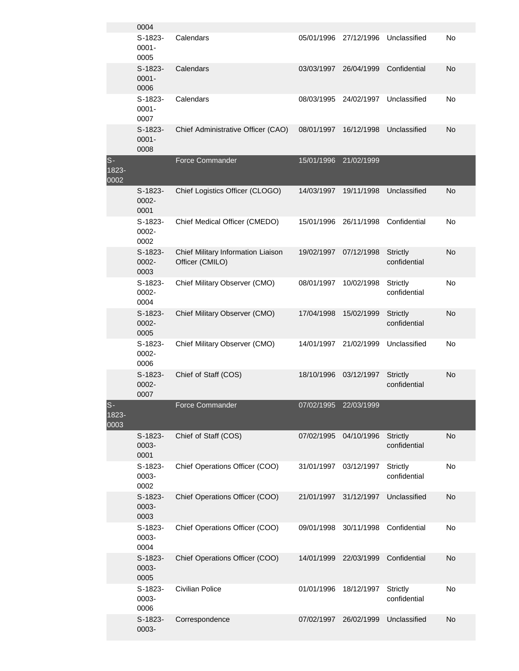|                       | 0004                          |                                                       |                       |            |                                 |    |
|-----------------------|-------------------------------|-------------------------------------------------------|-----------------------|------------|---------------------------------|----|
|                       | $S-1823-$<br>$0001 -$<br>0005 | Calendars                                             | 05/01/1996            | 27/12/1996 | Unclassified                    | No |
|                       | $S-1823-$<br>$0001 -$<br>0006 | Calendars                                             | 03/03/1997            | 26/04/1999 | Confidential                    | No |
|                       | $S-1823-$<br>$0001 -$<br>0007 | Calendars                                             | 08/03/1995            | 24/02/1997 | Unclassified                    | No |
|                       | $S-1823-$<br>$0001 -$<br>0008 | Chief Administrative Officer (CAO)                    | 08/01/1997            | 16/12/1998 | Unclassified                    | No |
| $S-$<br>1823-<br>0002 |                               | <b>Force Commander</b>                                | 15/01/1996            | 21/02/1999 |                                 |    |
|                       | $S-1823-$<br>0002-<br>0001    | Chief Logistics Officer (CLOGO)                       | 14/03/1997            | 19/11/1998 | Unclassified                    | No |
|                       | S-1823-<br>0002-<br>0002      | Chief Medical Officer (CMEDO)                         | 15/01/1996            | 26/11/1998 | Confidential                    | No |
|                       | $S-1823-$<br>$0002 -$<br>0003 | Chief Military Information Liaison<br>Officer (CMILO) | 19/02/1997            | 07/12/1998 | <b>Strictly</b><br>confidential | No |
|                       | S-1823-<br>0002-<br>0004      | Chief Military Observer (CMO)                         | 08/01/1997            | 10/02/1998 | <b>Strictly</b><br>confidential | No |
|                       | $S-1823-$<br>0002-<br>0005    | Chief Military Observer (CMO)                         | 17/04/1998            | 15/02/1999 | <b>Strictly</b><br>confidential | No |
|                       | S-1823-<br>0002-<br>0006      | Chief Military Observer (CMO)                         | 14/01/1997            | 21/02/1999 | Unclassified                    | No |
|                       | $S-1823-$<br>0002-<br>0007    | Chief of Staff (COS)                                  | 18/10/1996            | 03/12/1997 | <b>Strictly</b><br>confidential | No |
| $S-$<br>1823-<br>0003 |                               | Force Commander                                       | 07/02/1995 22/03/1999 |            |                                 |    |
|                       | $S-1823-$<br>0003-<br>0001    | Chief of Staff (COS)                                  | 07/02/1995            | 04/10/1996 | <b>Strictly</b><br>confidential | No |
|                       | $S-1823-$<br>0003-<br>0002    | Chief Operations Officer (COO)                        | 31/01/1997            | 03/12/1997 | <b>Strictly</b><br>confidential | No |
|                       | $S-1823-$<br>0003-<br>0003    | Chief Operations Officer (COO)                        | 21/01/1997            | 31/12/1997 | Unclassified                    | No |
|                       | $S-1823-$<br>0003-<br>0004    | Chief Operations Officer (COO)                        | 09/01/1998            | 30/11/1998 | Confidential                    | No |
|                       | $S-1823-$<br>0003-<br>0005    | Chief Operations Officer (COO)                        | 14/01/1999            | 22/03/1999 | Confidential                    | No |
|                       | $S-1823-$<br>0003-<br>0006    | Civilian Police                                       | 01/01/1996            | 18/12/1997 | <b>Strictly</b><br>confidential | No |
|                       | $S-1823-$<br>0003-            | Correspondence                                        | 07/02/1997            | 26/02/1999 | Unclassified                    | No |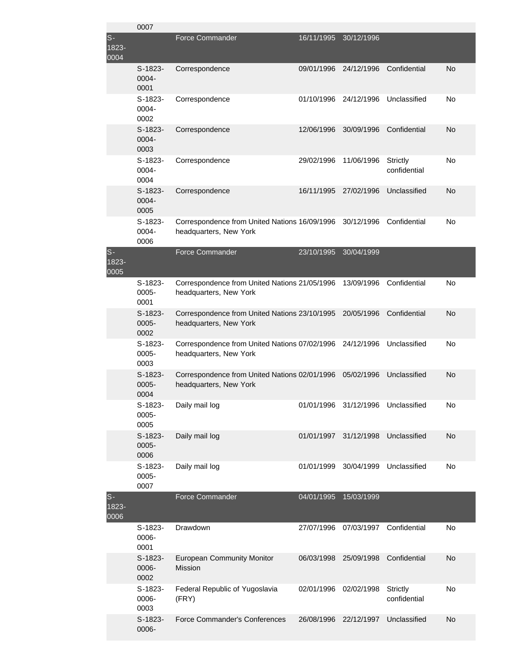|                          | 0007                          |                                                                                    |            |            |                                    |    |
|--------------------------|-------------------------------|------------------------------------------------------------------------------------|------------|------------|------------------------------------|----|
| $S -$<br>1823-<br>0004   |                               | <b>Force Commander</b>                                                             | 16/11/1995 | 30/12/1996 |                                    |    |
|                          | $S-1823-$<br>0004-<br>0001    | Correspondence                                                                     | 09/01/1996 | 24/12/1996 | Confidential                       | No |
|                          | $S-1823-$<br>0004-<br>0002    | Correspondence                                                                     | 01/10/1996 | 24/12/1996 | Unclassified                       | No |
|                          | $S-1823-$<br>0004-<br>0003    | Correspondence                                                                     | 12/06/1996 | 30/09/1996 | Confidential                       | No |
|                          | $S-1823-$<br>0004-<br>0004    | Correspondence                                                                     | 29/02/1996 | 11/06/1996 | Strictly<br>confidential           | No |
|                          | $S-1823-$<br>0004-<br>0005    | Correspondence                                                                     | 16/11/1995 | 27/02/1996 | Unclassified                       | No |
|                          | $S-1823-$<br>0004-<br>0006    | Correspondence from United Nations 16/09/1996 30/12/1996<br>headquarters, New York |            |            | Confidential                       | No |
| $S-$<br>1823-<br>0005    |                               | <b>Force Commander</b>                                                             | 23/10/1995 | 30/04/1999 |                                    |    |
|                          | $S-1823-$<br>0005-<br>0001    | Correspondence from United Nations 21/05/1996<br>headquarters, New York            |            | 13/09/1996 | Confidential                       | No |
|                          | $S-1823-$<br>$0005 -$<br>0002 | Correspondence from United Nations 23/10/1995 20/05/1996<br>headquarters, New York |            |            | Confidential                       | No |
|                          | S-1823-<br>0005-<br>0003      | Correspondence from United Nations 07/02/1996 24/12/1996<br>headquarters, New York |            |            | Unclassified                       | No |
|                          | $S-1823-$<br>$0005 -$<br>0004 | Correspondence from United Nations 02/01/1996<br>headquarters, New York            |            | 05/02/1996 | Unclassified                       | No |
|                          | S-1823-<br>0005-<br>0005      | Daily mail log                                                                     |            |            | 01/01/1996 31/12/1996 Unclassified | No |
|                          | $S-1823-$<br>0005-<br>0006    | Daily mail log                                                                     | 01/01/1997 | 31/12/1998 | Unclassified                       | No |
|                          | S-1823-<br>0005-<br>0007      | Daily mail log                                                                     | 01/01/1999 | 30/04/1999 | Unclassified                       | No |
| $S-$<br>$1823 -$<br>0006 |                               | Force Commander                                                                    | 04/01/1995 | 15/03/1999 |                                    |    |
|                          | $S-1823-$<br>0006-<br>0001    | Drawdown                                                                           | 27/07/1996 | 07/03/1997 | Confidential                       | No |
|                          | $S-1823-$<br>0006-<br>0002    | <b>European Community Monitor</b><br><b>Mission</b>                                | 06/03/1998 | 25/09/1998 | Confidential                       | No |
|                          | S-1823-<br>0006-<br>0003      | Federal Republic of Yugoslavia<br>(FRY)                                            | 02/01/1996 | 02/02/1998 | <b>Strictly</b><br>confidential    | No |
|                          | $S-1823-$<br>0006-            | Force Commander's Conferences                                                      | 26/08/1996 | 22/12/1997 | Unclassified                       | No |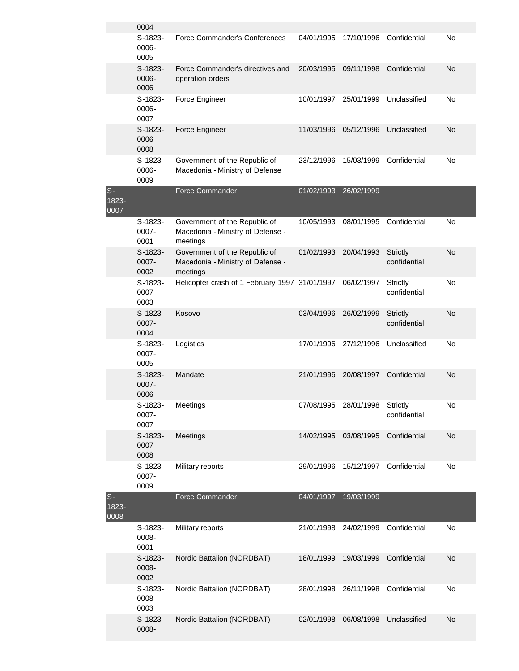|                        | 0004                       |                                                                                |            |            |                                 |    |
|------------------------|----------------------------|--------------------------------------------------------------------------------|------------|------------|---------------------------------|----|
|                        | $S-1823-$<br>0006-<br>0005 | Force Commander's Conferences                                                  | 04/01/1995 | 17/10/1996 | Confidential                    | No |
|                        | S-1823-<br>0006-<br>0006   | Force Commander's directives and<br>operation orders                           | 20/03/1995 | 09/11/1998 | Confidential                    | No |
|                        | S-1823-<br>0006-<br>0007   | Force Engineer                                                                 | 10/01/1997 | 25/01/1999 | Unclassified                    | No |
|                        | S-1823-<br>0006-<br>0008   | Force Engineer                                                                 | 11/03/1996 | 05/12/1996 | Unclassified                    | No |
|                        | S-1823-<br>0006-<br>0009   | Government of the Republic of<br>Macedonia - Ministry of Defense               | 23/12/1996 | 15/03/1999 | Confidential                    | No |
| $S-$<br>1823-<br>0007  |                            | <b>Force Commander</b>                                                         | 01/02/1993 | 26/02/1999 |                                 |    |
|                        | S-1823-<br>0007-<br>0001   | Government of the Republic of<br>Macedonia - Ministry of Defense -<br>meetings | 10/05/1993 | 08/01/1995 | Confidential                    | No |
|                        | $S-1823-$<br>0007-<br>0002 | Government of the Republic of<br>Macedonia - Ministry of Defense -<br>meetings | 01/02/1993 | 20/04/1993 | <b>Strictly</b><br>confidential | No |
|                        | $S-1823-$<br>0007-<br>0003 | Helicopter crash of 1 February 1997 31/01/1997                                 |            | 06/02/1997 | Strictly<br>confidential        | No |
|                        | $S-1823-$<br>0007-<br>0004 | Kosovo                                                                         | 03/04/1996 | 26/02/1999 | Strictly<br>confidential        | No |
|                        | $S-1823-$<br>0007-<br>0005 | Logistics                                                                      | 17/01/1996 | 27/12/1996 | Unclassified                    | No |
|                        | $S-1823-$<br>0007-<br>0006 | Mandate                                                                        | 21/01/1996 | 20/08/1997 | Confidential                    | No |
|                        | S-1823-<br>0007-<br>0007   | Meetings                                                                       | 07/08/1995 | 28/01/1998 | Strictly<br>confidential        | No |
|                        | $S-1823-$<br>0007-<br>0008 | Meetings                                                                       | 14/02/1995 | 03/08/1995 | Confidential                    | No |
|                        | S-1823-<br>0007-<br>0009   | Military reports                                                               | 29/01/1996 | 15/12/1997 | Confidential                    | No |
| $S -$<br>1823-<br>0008 |                            | <b>Force Commander</b>                                                         | 04/01/1997 | 19/03/1999 |                                 |    |
|                        | $S-1823-$<br>0008-<br>0001 | Military reports                                                               | 21/01/1998 | 24/02/1999 | Confidential                    | No |
|                        | $S-1823-$<br>0008-<br>0002 | Nordic Battalion (NORDBAT)                                                     | 18/01/1999 | 19/03/1999 | Confidential                    | No |
|                        | S-1823-<br>0008-<br>0003   | Nordic Battalion (NORDBAT)                                                     | 28/01/1998 | 26/11/1998 | Confidential                    | No |
|                        | S-1823-<br>0008-           | Nordic Battalion (NORDBAT)                                                     | 02/01/1998 | 06/08/1998 | Unclassified                    | No |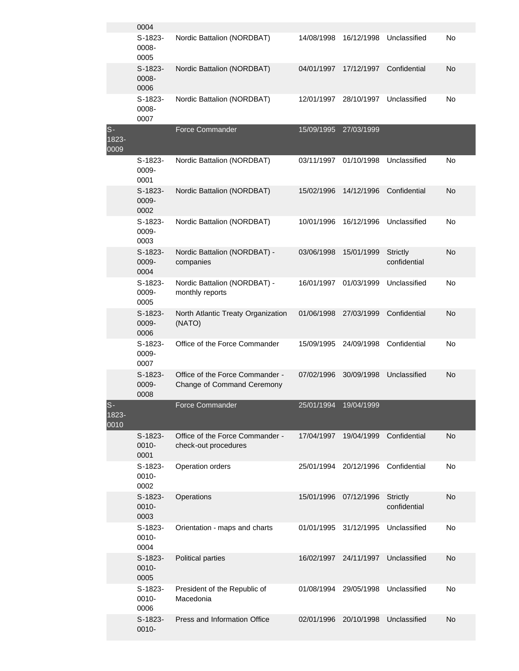|                        | 0004                       |                                                               |            |            |                                 |    |
|------------------------|----------------------------|---------------------------------------------------------------|------------|------------|---------------------------------|----|
|                        | $S-1823-$<br>0008-<br>0005 | Nordic Battalion (NORDBAT)                                    | 14/08/1998 | 16/12/1998 | Unclassified                    | No |
|                        | $S-1823-$<br>0008-<br>0006 | Nordic Battalion (NORDBAT)                                    | 04/01/1997 | 17/12/1997 | Confidential                    | No |
|                        | $S-1823-$<br>0008-<br>0007 | Nordic Battalion (NORDBAT)                                    | 12/01/1997 | 28/10/1997 | Unclassified                    | No |
| $S-$<br>1823-<br>0009  |                            | <b>Force Commander</b>                                        | 15/09/1995 | 27/03/1999 |                                 |    |
|                        | $S-1823-$<br>0009-<br>0001 | Nordic Battalion (NORDBAT)                                    | 03/11/1997 | 01/10/1998 | Unclassified                    | No |
|                        | $S-1823-$<br>0009-<br>0002 | Nordic Battalion (NORDBAT)                                    | 15/02/1996 | 14/12/1996 | Confidential                    | No |
|                        | $S-1823-$<br>0009-<br>0003 | Nordic Battalion (NORDBAT)                                    | 10/01/1996 | 16/12/1996 | Unclassified                    | No |
|                        | $S-1823-$<br>0009-<br>0004 | Nordic Battalion (NORDBAT) -<br>companies                     | 03/06/1998 | 15/01/1999 | <b>Strictly</b><br>confidential | No |
|                        | $S-1823-$<br>0009-<br>0005 | Nordic Battalion (NORDBAT) -<br>monthly reports               | 16/01/1997 | 01/03/1999 | Unclassified                    | No |
|                        | $S-1823-$<br>0009-<br>0006 | North Atlantic Treaty Organization<br>(NATO)                  | 01/06/1998 | 27/03/1999 | Confidential                    | No |
|                        | $S-1823-$<br>0009-<br>0007 | Office of the Force Commander                                 | 15/09/1995 | 24/09/1998 | Confidential                    | No |
|                        | $S-1823-$<br>0009-<br>0008 | Office of the Force Commander -<br>Change of Command Ceremony | 07/02/1996 | 30/09/1998 | Unclassified                    | No |
| $S -$<br>1823-<br>0010 |                            | <b>Force Commander</b>                                        | 25/01/1994 | 19/04/1999 |                                 |    |
|                        | $S-1823-$<br>0010-<br>0001 | Office of the Force Commander -<br>check-out procedures       | 17/04/1997 | 19/04/1999 | Confidential                    | No |
|                        | $S-1823-$<br>0010-<br>0002 | Operation orders                                              | 25/01/1994 | 20/12/1996 | Confidential                    | No |
|                        | $S-1823-$<br>0010-<br>0003 | Operations                                                    | 15/01/1996 | 07/12/1996 | <b>Strictly</b><br>confidential | No |
|                        | S-1823-<br>0010-<br>0004   | Orientation - maps and charts                                 | 01/01/1995 | 31/12/1995 | Unclassified                    | No |
|                        | $S-1823-$<br>0010-<br>0005 | Political parties                                             | 16/02/1997 | 24/11/1997 | Unclassified                    | No |
|                        | S-1823-<br>0010-<br>0006   | President of the Republic of<br>Macedonia                     | 01/08/1994 | 29/05/1998 | Unclassified                    | No |
|                        | S-1823-<br>0010-           | Press and Information Office                                  | 02/01/1996 | 20/10/1998 | Unclassified                    | No |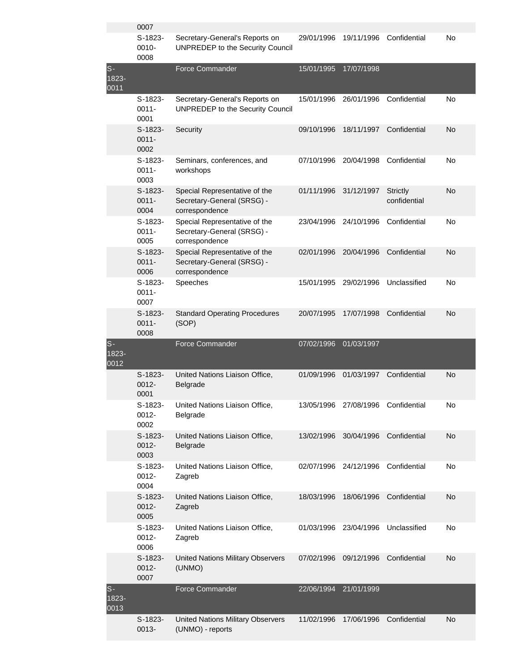|                        | 0007                          |                                                                               |            |            |                                 |    |
|------------------------|-------------------------------|-------------------------------------------------------------------------------|------------|------------|---------------------------------|----|
|                        | $S-1823-$<br>0010-<br>0008    | Secretary-General's Reports on<br>UNPREDEP to the Security Council            | 29/01/1996 | 19/11/1996 | Confidential                    | No |
| $S -$<br>1823-<br>0011 |                               | <b>Force Commander</b>                                                        | 15/01/1995 | 17/07/1998 |                                 |    |
|                        | $S-1823-$<br>$0011 -$<br>0001 | Secretary-General's Reports on<br>UNPREDEP to the Security Council            | 15/01/1996 | 26/01/1996 | Confidential                    | No |
|                        | $S-1823-$<br>$0011 -$<br>0002 | Security                                                                      | 09/10/1996 | 18/11/1997 | Confidential                    | No |
|                        | $S-1823-$<br>$0011 -$<br>0003 | Seminars, conferences, and<br>workshops                                       | 07/10/1996 | 20/04/1998 | Confidential                    | No |
|                        | $S-1823-$<br>$0011 -$<br>0004 | Special Representative of the<br>Secretary-General (SRSG) -<br>correspondence | 01/11/1996 | 31/12/1997 | <b>Strictly</b><br>confidential | No |
|                        | $S-1823-$<br>$0011 -$<br>0005 | Special Representative of the<br>Secretary-General (SRSG) -<br>correspondence | 23/04/1996 | 24/10/1996 | Confidential                    | No |
|                        | $S-1823-$<br>$0011 -$<br>0006 | Special Representative of the<br>Secretary-General (SRSG) -<br>correspondence | 02/01/1996 | 20/04/1996 | Confidential                    | No |
|                        | $S-1823-$<br>$0011 -$<br>0007 | Speeches                                                                      | 15/01/1995 | 29/02/1996 | Unclassified                    | No |
|                        | $S-1823-$<br>$0011 -$         | <b>Standard Operating Procedures</b><br>(SOP)                                 | 20/07/1995 | 17/07/1998 | Confidential                    | No |
|                        | 0008                          |                                                                               |            |            |                                 |    |
| $S-$<br>1823-<br>0012  |                               | <b>Force Commander</b>                                                        | 07/02/1996 | 01/03/1997 |                                 |    |
|                        | $S-1823-$<br>$0012 -$<br>0001 | United Nations Liaison Office,<br>Belgrade                                    | 01/09/1996 | 01/03/1997 | Confidential                    | No |
|                        | S-1823-<br>0012-<br>0002      | United Nations Liaison Office,<br><b>Belgrade</b>                             | 13/05/1996 | 27/08/1996 | Confidential                    | No |
|                        | S-1823-<br>$0012 -$<br>0003   | United Nations Liaison Office,<br>Belgrade                                    | 13/02/1996 | 30/04/1996 | Confidential                    | No |
|                        | S-1823-<br>0012-<br>0004      | United Nations Liaison Office,<br>Zagreb                                      | 02/07/1996 | 24/12/1996 | Confidential                    | No |
|                        | S-1823-<br>$0012 -$<br>0005   | United Nations Liaison Office,<br>Zagreb                                      | 18/03/1996 | 18/06/1996 | Confidential                    | No |
|                        | S-1823-<br>0012-<br>0006      | United Nations Liaison Office,<br>Zagreb                                      | 01/03/1996 | 23/04/1996 | Unclassified                    | No |
|                        | $S-1823-$<br>$0012 -$<br>0007 | <b>United Nations Military Observers</b><br>(UNMO)                            | 07/02/1996 | 09/12/1996 | Confidential                    | No |
| $S-$<br>1823-<br>0013  |                               | Force Commander                                                               | 22/06/1994 | 21/01/1999 |                                 |    |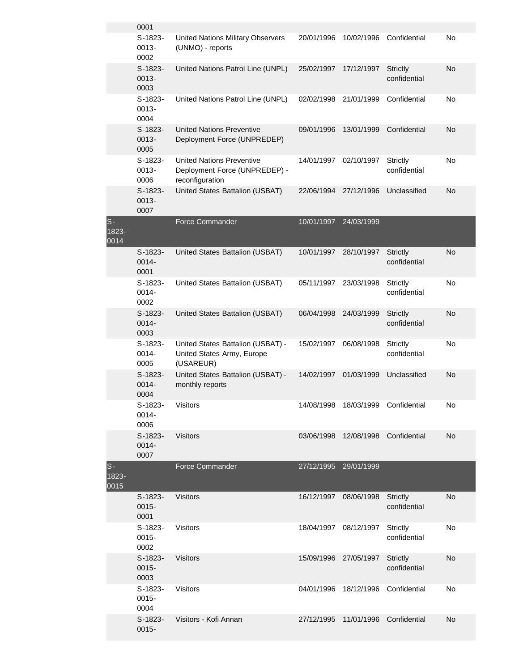|                       | 0001                          |                                                                                      |            |                                    |                                 |           |
|-----------------------|-------------------------------|--------------------------------------------------------------------------------------|------------|------------------------------------|---------------------------------|-----------|
|                       | $S-1823-$<br>0013-<br>0002    | <b>United Nations Military Observers</b><br>(UNMO) - reports                         | 20/01/1996 | 10/02/1996                         | Confidential                    | No        |
|                       | $S-1823-$<br>0013-<br>0003    | United Nations Patrol Line (UNPL)                                                    | 25/02/1997 | 17/12/1997                         | <b>Strictly</b><br>confidential | No        |
|                       | $S-1823-$<br>0013-<br>0004    | United Nations Patrol Line (UNPL)                                                    | 02/02/1998 | 21/01/1999                         | Confidential                    | No        |
|                       | $S-1823-$<br>0013-<br>0005    | <b>United Nations Preventive</b><br>Deployment Force (UNPREDEP)                      | 09/01/1996 | 13/01/1999                         | Confidential                    | No        |
|                       | $S-1823-$<br>0013-<br>0006    | <b>United Nations Preventive</b><br>Deployment Force (UNPREDEP) -<br>reconfiguration | 14/01/1997 | 02/10/1997                         | Strictly<br>confidential        | No        |
|                       | $S-1823-$<br>0013-<br>0007    | United States Battalion (USBAT)                                                      | 22/06/1994 | 27/12/1996                         | Unclassified                    | No        |
| $S-$<br>1823-<br>0014 |                               | <b>Force Commander</b>                                                               | 10/01/1997 | 24/03/1999                         |                                 |           |
|                       | $S-1823-$<br>0014-<br>0001    | United States Battalion (USBAT)                                                      | 10/01/1997 | 28/10/1997                         | <b>Strictly</b><br>confidential | No        |
|                       | $S-1823-$<br>0014-<br>0002    | United States Battalion (USBAT)                                                      | 05/11/1997 | 23/03/1998                         | Strictly<br>confidential        | No        |
|                       | $S-1823-$<br>0014-<br>0003    | United States Battalion (USBAT)                                                      | 06/04/1998 | 24/03/1999                         | <b>Strictly</b><br>confidential | <b>No</b> |
|                       | $S-1823-$<br>0014-<br>0005    | United States Battalion (USBAT) -<br>United States Army, Europe<br>(USAREUR)         | 15/02/1997 | 06/08/1998                         | Strictly<br>confidential        | No        |
|                       | $S-1823-$<br>0014-<br>0004    | United States Battalion (USBAT) -<br>monthly reports                                 | 14/02/1997 | 01/03/1999                         | Unclassified                    | No        |
|                       | S-1823-<br>$0014 -$<br>0006   | Visitors                                                                             |            | 14/08/1998 18/03/1999 Confidential |                                 | No        |
|                       | $S-1823-$<br>0014-<br>0007    | <b>Visitors</b>                                                                      | 03/06/1998 |                                    | 12/08/1998 Confidential         | <b>No</b> |
| $S-$<br>1823-<br>0015 |                               | <b>Force Commander</b>                                                               | 27/12/1995 | 29/01/1999                         |                                 |           |
|                       | $S-1823-$<br>$0015 -$<br>0001 | <b>Visitors</b>                                                                      | 16/12/1997 | 08/06/1998                         | <b>Strictly</b><br>confidential | No.       |
|                       | $S-1823-$<br>$0015 -$<br>0002 | <b>Visitors</b>                                                                      | 18/04/1997 | 08/12/1997                         | Strictly<br>confidential        | <b>No</b> |
|                       | $S-1823-$<br>$0015 -$<br>0003 | <b>Visitors</b>                                                                      |            | 15/09/1996 27/05/1997              | <b>Strictly</b><br>confidential | <b>No</b> |
|                       | $S-1823-$<br>$0015 -$<br>0004 | <b>Visitors</b>                                                                      | 04/01/1996 | 18/12/1996                         | Confidential                    | No        |
|                       | $S-1823-$<br>$0015 -$         | Visitors - Kofi Annan                                                                | 27/12/1995 | 11/01/1996                         | Confidential                    | No.       |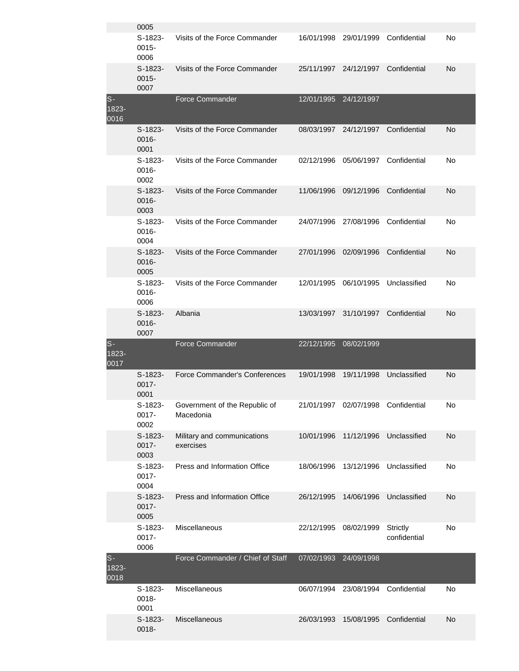|                           | 0005                          |                                            |            |                                    |                                 |    |
|---------------------------|-------------------------------|--------------------------------------------|------------|------------------------------------|---------------------------------|----|
|                           | $S-1823-$<br>$0015 -$<br>0006 | Visits of the Force Commander              |            | 16/01/1998 29/01/1999              | Confidential                    | No |
|                           | $S-1823-$<br>$0015 -$<br>0007 | Visits of the Force Commander              | 25/11/1997 | 24/12/1997                         | Confidential                    | No |
| $S -$<br>$1823 -$<br>0016 |                               | <b>Force Commander</b>                     | 12/01/1995 | 24/12/1997                         |                                 |    |
|                           | $S-1823-$<br>$0016 -$<br>0001 | Visits of the Force Commander              | 08/03/1997 | 24/12/1997                         | Confidential                    | No |
|                           | $S-1823-$<br>$0016 -$<br>0002 | Visits of the Force Commander              | 02/12/1996 | 05/06/1997                         | Confidential                    | No |
|                           | $S-1823-$<br>0016-<br>0003    | Visits of the Force Commander              | 11/06/1996 | 09/12/1996                         | Confidential                    | No |
|                           | $S-1823-$<br>0016-<br>0004    | Visits of the Force Commander              | 24/07/1996 | 27/08/1996                         | Confidential                    | No |
|                           | $S-1823-$<br>0016-<br>0005    | Visits of the Force Commander              | 27/01/1996 | 02/09/1996                         | Confidential                    | No |
|                           | $S-1823-$<br>0016-<br>0006    | Visits of the Force Commander              | 12/01/1995 | 06/10/1995                         | Unclassified                    | No |
|                           | $S-1823-$<br>0016-            | Albania                                    | 13/03/1997 | 31/10/1997                         | Confidential                    | No |
|                           | 0007                          |                                            |            |                                    |                                 |    |
| $S -$<br>1823-<br>0017    |                               | <b>Force Commander</b>                     | 22/12/1995 | 08/02/1999                         |                                 |    |
|                           | $S-1823-$<br>$0017 -$<br>0001 | Force Commander's Conferences              | 19/01/1998 | 19/11/1998                         | Unclassified                    | No |
|                           | S-1823-<br>0017-<br>0002      | Government of the Republic of<br>Macedonia |            | 21/01/1997 02/07/1998 Confidential |                                 | No |
|                           | $S-1823-$<br>$0017 -$<br>0003 | Military and communications<br>exercises   | 10/01/1996 | 11/12/1996                         | Unclassified                    | No |
|                           | S-1823-<br>$0017 -$<br>0004   | Press and Information Office               | 18/06/1996 | 13/12/1996                         | Unclassified                    | No |
|                           | S-1823-<br>0017-<br>0005      | Press and Information Office               | 26/12/1995 | 14/06/1996                         | Unclassified                    | No |
|                           | S-1823-<br>0017-<br>0006      | Miscellaneous                              | 22/12/1995 | 08/02/1999                         | <b>Strictly</b><br>confidential | No |
| $S-$<br>1823-<br>0018     |                               | Force Commander / Chief of Staff           | 07/02/1993 | 24/09/1998                         |                                 |    |
|                           | $S-1823-$<br>0018-<br>0001    | Miscellaneous                              | 06/07/1994 |                                    | 23/08/1994 Confidential         | No |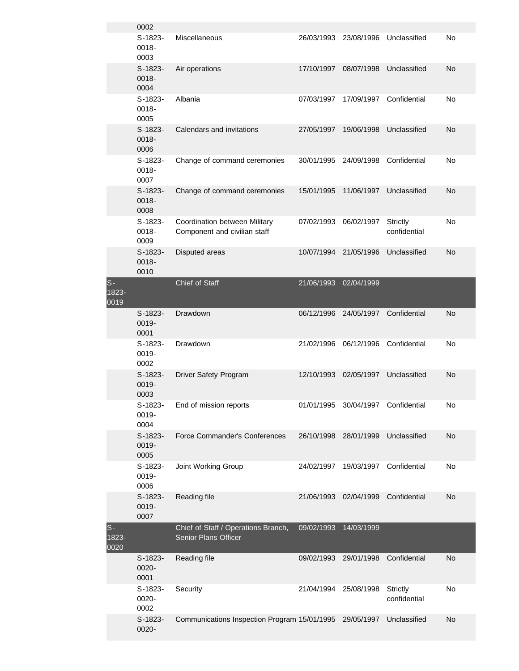|                        | 0002                       |                                                               |            |            |                                 |    |
|------------------------|----------------------------|---------------------------------------------------------------|------------|------------|---------------------------------|----|
|                        | S-1823-<br>0018-<br>0003   | Miscellaneous                                                 | 26/03/1993 | 23/08/1996 | Unclassified                    | No |
|                        | $S-1823-$<br>0018-<br>0004 | Air operations                                                | 17/10/1997 | 08/07/1998 | Unclassified                    | No |
|                        | $S-1823-$<br>0018-<br>0005 | Albania                                                       | 07/03/1997 | 17/09/1997 | Confidential                    | No |
|                        | S-1823-<br>0018-<br>0006   | Calendars and invitations                                     | 27/05/1997 | 19/06/1998 | Unclassified                    | No |
|                        | $S-1823-$<br>0018-<br>0007 | Change of command ceremonies                                  | 30/01/1995 | 24/09/1998 | Confidential                    | No |
|                        | $S-1823-$<br>0018-<br>0008 | Change of command ceremonies                                  | 15/01/1995 | 11/06/1997 | Unclassified                    | No |
|                        | S-1823-<br>0018-<br>0009   | Coordination between Military<br>Component and civilian staff | 07/02/1993 | 06/02/1997 | <b>Strictly</b><br>confidential | No |
|                        | $S-1823-$<br>0018-<br>0010 | Disputed areas                                                | 10/07/1994 | 21/05/1996 | Unclassified                    | No |
| $S-$<br>1823-<br>0019  |                            | Chief of Staff                                                | 21/06/1993 | 02/04/1999 |                                 |    |
|                        | $S-1823-$                  | Drawdown                                                      | 06/12/1996 | 24/05/1997 | Confidential                    | No |
|                        | 0019-<br>0001              |                                                               |            |            |                                 |    |
|                        | S-1823-<br>0019-<br>0002   | Drawdown                                                      | 21/02/1996 | 06/12/1996 | Confidential                    | No |
|                        | $S-1823-$<br>0019-<br>0003 | <b>Driver Safety Program</b>                                  | 12/10/1993 | 02/05/1997 | Unclassified                    | No |
|                        | S-1823-<br>0019-<br>0004   | End of mission reports                                        | 01/01/1995 | 30/04/1997 | Confidential                    | No |
|                        | $S-1823-$<br>0019-<br>0005 | Force Commander's Conferences                                 | 26/10/1998 | 28/01/1999 | Unclassified                    | No |
|                        | $S-1823-$<br>0019-<br>0006 | Joint Working Group                                           | 24/02/1997 | 19/03/1997 | Confidential                    | No |
|                        | $S-1823-$<br>0019-<br>0007 | Reading file                                                  | 21/06/1993 | 02/04/1999 | Confidential                    | No |
| $S -$<br>1823-<br>0020 |                            | Chief of Staff / Operations Branch,<br>Senior Plans Officer   | 09/02/1993 | 14/03/1999 |                                 |    |
|                        | S-1823-<br>0020-<br>0001   | Reading file                                                  | 09/02/1993 | 29/01/1998 | Confidential                    | No |
|                        | S-1823-<br>0020-<br>0002   | Security                                                      | 21/04/1994 | 25/08/1998 | Strictly<br>confidential        | No |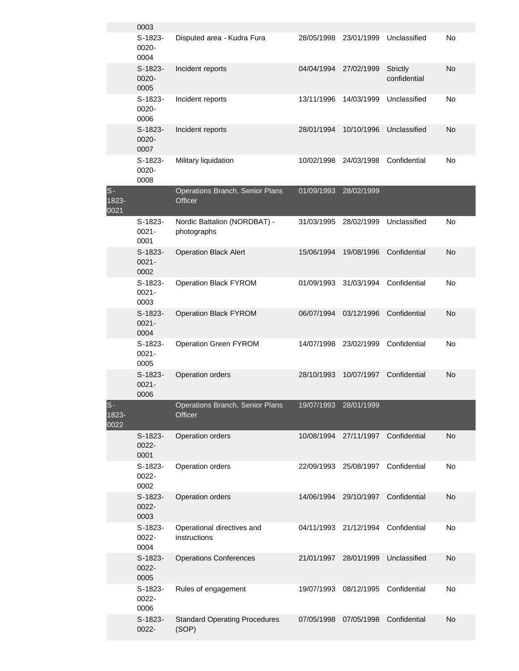|                        | 0003                          |                                               |            |            |                                 |    |
|------------------------|-------------------------------|-----------------------------------------------|------------|------------|---------------------------------|----|
|                        | $S-1823-$<br>0020-<br>0004    | Disputed area - Kudra Fura                    | 28/05/1998 | 23/01/1999 | Unclassified                    | No |
|                        | $S-1823-$<br>$0020 -$<br>0005 | Incident reports                              | 04/04/1994 | 27/02/1999 | <b>Strictly</b><br>confidential | No |
|                        | $S-1823-$<br>0020-<br>0006    | Incident reports                              | 13/11/1996 | 14/03/1999 | Unclassified                    | No |
|                        | S-1823-<br>$0020 -$<br>0007   | Incident reports                              | 28/01/1994 | 10/10/1996 | Unclassified                    | No |
|                        | $S-1823-$<br>0020-<br>0008    | Military liquidation                          | 10/02/1998 | 24/03/1998 | Confidential                    | No |
| $S -$<br>1823-<br>0021 |                               | Operations Branch, Senior Plans<br>Officer    | 01/09/1993 | 28/02/1999 |                                 |    |
|                        | $S-1823-$<br>$0021 -$<br>0001 | Nordic Battalion (NORDBAT) -<br>photographs   | 31/03/1995 | 28/02/1999 | Unclassified                    | No |
|                        | $S-1823-$<br>$0021 -$<br>0002 | <b>Operation Black Alert</b>                  | 15/06/1994 | 19/08/1996 | Confidential                    | No |
|                        | $S-1823-$<br>$0021 -$<br>0003 | <b>Operation Black FYROM</b>                  | 01/09/1993 | 31/03/1994 | Confidential                    | No |
|                        | $S-1823-$<br>$0021 -$<br>0004 | <b>Operation Black FYROM</b>                  | 06/07/1994 | 03/12/1996 | Confidential                    | No |
|                        | $S-1823-$<br>$0021 -$<br>0005 | Operation Green FYROM                         | 14/07/1998 | 23/02/1999 | Confidential                    | No |
|                        | $S-1823-$<br>$0021 -$<br>0006 | Operation orders                              | 28/10/1993 | 10/07/1997 | Confidential                    | No |
| $S -$<br>1823-<br>0022 |                               | Operations Branch, Senior Plans<br>Officer    | 19/07/1993 | 28/01/1999 |                                 |    |
|                        | S-1823-<br>0022-<br>0001      | Operation orders                              | 10/08/1994 | 27/11/1997 | Confidential                    | No |
|                        | S-1823-<br>0022-<br>0002      | Operation orders                              | 22/09/1993 | 25/08/1997 | Confidential                    | No |
|                        | $S-1823-$<br>0022-<br>0003    | Operation orders                              | 14/06/1994 | 29/10/1997 | Confidential                    | No |
|                        | S-1823-<br>0022-<br>0004      | Operational directives and<br>instructions    | 04/11/1993 | 21/12/1994 | Confidential                    | No |
|                        | $S-1823-$<br>0022-<br>0005    | <b>Operations Conferences</b>                 | 21/01/1997 | 28/01/1999 | Unclassified                    | No |
|                        | $S-1823-$<br>0022-<br>0006    | Rules of engagement                           | 19/07/1993 | 08/12/1995 | Confidential                    | No |
|                        | S-1823-<br>0022-              | <b>Standard Operating Procedures</b><br>(SOP) | 07/05/1998 | 07/05/1998 | Confidential                    | No |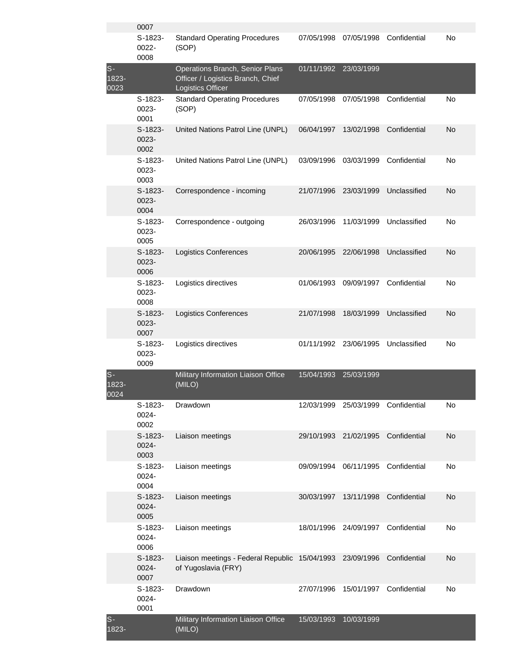|                        | 0007                       |                                                                                           |            |                       |              |    |
|------------------------|----------------------------|-------------------------------------------------------------------------------------------|------------|-----------------------|--------------|----|
|                        | S-1823-<br>0022-<br>0008   | <b>Standard Operating Procedures</b><br>(SOP)                                             | 07/05/1998 | 07/05/1998            | Confidential | No |
| $S -$<br>1823-<br>0023 |                            | Operations Branch, Senior Plans<br>Officer / Logistics Branch, Chief<br>Logistics Officer |            | 01/11/1992 23/03/1999 |              |    |
|                        | $S-1823-$<br>0023-<br>0001 | <b>Standard Operating Procedures</b><br>(SOP)                                             | 07/05/1998 | 07/05/1998            | Confidential | No |
|                        | S-1823-<br>0023-<br>0002   | United Nations Patrol Line (UNPL)                                                         | 06/04/1997 | 13/02/1998            | Confidential | No |
|                        | S-1823-<br>0023-<br>0003   | United Nations Patrol Line (UNPL)                                                         | 03/09/1996 | 03/03/1999            | Confidential | No |
|                        | S-1823-<br>0023-<br>0004   | Correspondence - incoming                                                                 | 21/07/1996 | 23/03/1999            | Unclassified | No |
|                        | S-1823-<br>0023-<br>0005   | Correspondence - outgoing                                                                 | 26/03/1996 | 11/03/1999            | Unclassified | No |
|                        | $S-1823-$<br>0023-<br>0006 | <b>Logistics Conferences</b>                                                              | 20/06/1995 | 22/06/1998            | Unclassified | No |
|                        | S-1823-<br>0023-<br>0008   | Logistics directives                                                                      | 01/06/1993 | 09/09/1997            | Confidential | No |
|                        | $S-1823-$<br>0023-<br>0007 | <b>Logistics Conferences</b>                                                              | 21/07/1998 | 18/03/1999            | Unclassified | No |
|                        | S-1823-<br>0023-<br>0009   | Logistics directives                                                                      | 01/11/1992 | 23/06/1995            | Unclassified | No |
| $S -$<br>1823-<br>0024 |                            | Military Information Liaison Office<br>(MILO)                                             | 15/04/1993 | 25/03/1999            |              |    |
|                        | S-1823-<br>0024-<br>0002   | Drawdown                                                                                  | 12/03/1999 | 25/03/1999            | Confidential | No |
|                        | S-1823-<br>0024-<br>0003   | Liaison meetings                                                                          | 29/10/1993 | 21/02/1995            | Confidential | No |
|                        | S-1823-<br>0024-<br>0004   | Liaison meetings                                                                          | 09/09/1994 | 06/11/1995            | Confidential | No |
|                        | $S-1823-$<br>0024-<br>0005 | Liaison meetings                                                                          | 30/03/1997 | 13/11/1998            | Confidential | No |
|                        | S-1823-<br>0024-<br>0006   | Liaison meetings                                                                          | 18/01/1996 | 24/09/1997            | Confidential | No |
|                        | $S-1823-$<br>0024-<br>0007 | Liaison meetings - Federal Republic 15/04/1993<br>of Yugoslavia (FRY)                     |            | 23/09/1996            | Confidential | No |
|                        | S-1823-<br>0024-<br>0001   | Drawdown                                                                                  | 27/07/1996 | 15/01/1997            | Confidential | No |
| $S -$<br>1823-         |                            | Military Information Liaison Office<br>(MILO)                                             | 15/03/1993 | 10/03/1999            |              |    |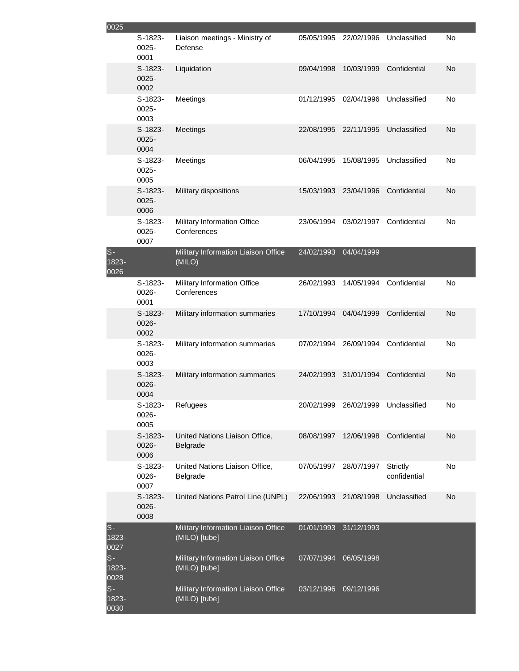| 0025                   |                               |                                                      |            |                       |                                    |           |
|------------------------|-------------------------------|------------------------------------------------------|------------|-----------------------|------------------------------------|-----------|
|                        | S-1823-<br>$0025 -$<br>0001   | Liaison meetings - Ministry of<br>Defense            | 05/05/1995 | 22/02/1996            | Unclassified                       | No        |
|                        | $S-1823-$<br>$0025 -$<br>0002 | Liquidation                                          | 09/04/1998 | 10/03/1999            | Confidential                       | No        |
|                        | $S-1823-$<br>$0025 -$<br>0003 | Meetings                                             | 01/12/1995 | 02/04/1996            | Unclassified                       | No        |
|                        | $S-1823-$<br>$0025 -$<br>0004 | Meetings                                             | 22/08/1995 | 22/11/1995            | Unclassified                       | No        |
|                        | $S-1823-$<br>$0025 -$<br>0005 | Meetings                                             | 06/04/1995 | 15/08/1995            | Unclassified                       | No        |
|                        | $S-1823-$<br>$0025 -$<br>0006 | Military dispositions                                | 15/03/1993 | 23/04/1996            | Confidential                       | No        |
|                        | $S-1823-$<br>$0025 -$<br>0007 | Military Information Office<br>Conferences           | 23/06/1994 | 03/02/1997            | Confidential                       | No        |
| $S -$<br>1823-<br>0026 |                               | Military Information Liaison Office<br>(MILO)        | 24/02/1993 | 04/04/1999            |                                    |           |
|                        | S-1823-<br>0026-<br>0001      | Military Information Office<br>Conferences           | 26/02/1993 | 14/05/1994            | Confidential                       | No        |
|                        | $S-1823-$<br>0026-<br>0002    | Military information summaries                       | 17/10/1994 | 04/04/1999            | Confidential                       | No        |
|                        | S-1823-<br>0026-<br>0003      | Military information summaries                       | 07/02/1994 | 26/09/1994            | Confidential                       | No        |
|                        | $S-1823-$<br>0026-<br>0004    | Military information summaries                       | 24/02/1993 | 31/01/1994            | Confidential                       | No        |
|                        | S-1823-<br>0026-<br>0005      | Refugees                                             |            |                       | 20/02/1999 26/02/1999 Unclassified | No        |
|                        | $S-1823-$<br>0026-<br>0006    | United Nations Liaison Office,<br>Belgrade           | 08/08/1997 | 12/06/1998            | Confidential                       | <b>No</b> |
|                        | S-1823-<br>0026-<br>0007      | United Nations Liaison Office,<br>Belgrade           |            | 07/05/1997 28/07/1997 | <b>Strictly</b><br>confidential    | No        |
|                        | $S-1823-$<br>0026-<br>0008    | United Nations Patrol Line (UNPL)                    | 22/06/1993 | 21/08/1998            | Unclassified                       | No        |
| $S-$<br>1823-<br>0027  |                               | Military Information Liaison Office<br>(MILO) [tube] | 01/01/1993 | 31/12/1993            |                                    |           |
| $S -$<br>1823-<br>0028 |                               | Military Information Liaison Office<br>(MILO) [tube] | 07/07/1994 | 06/05/1998            |                                    |           |
| $S -$<br>1823-<br>0030 |                               | Military Information Liaison Office<br>(MILO) [tube] | 03/12/1996 | 09/12/1996            |                                    |           |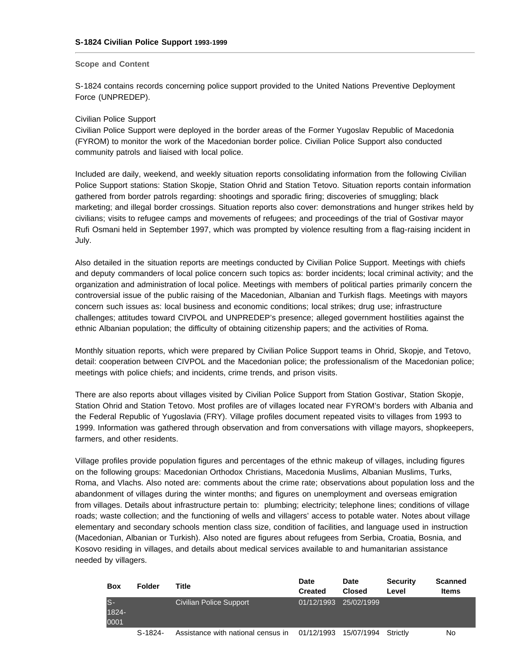#### **Scope and Content**

S-1824 contains records concerning police support provided to the United Nations Preventive Deployment Force (UNPREDEP).

#### Civilian Police Support

Civilian Police Support were deployed in the border areas of the Former Yugoslav Republic of Macedonia (FYROM) to monitor the work of the Macedonian border police. Civilian Police Support also conducted community patrols and liaised with local police.

Included are daily, weekend, and weekly situation reports consolidating information from the following Civilian Police Support stations: Station Skopje, Station Ohrid and Station Tetovo. Situation reports contain information gathered from border patrols regarding: shootings and sporadic firing; discoveries of smuggling; black marketing; and illegal border crossings. Situation reports also cover: demonstrations and hunger strikes held by civilians; visits to refugee camps and movements of refugees; and proceedings of the trial of Gostivar mayor Rufi Osmani held in September 1997, which was prompted by violence resulting from a flag-raising incident in July.

Also detailed in the situation reports are meetings conducted by Civilian Police Support. Meetings with chiefs and deputy commanders of local police concern such topics as: border incidents; local criminal activity; and the organization and administration of local police. Meetings with members of political parties primarily concern the controversial issue of the public raising of the Macedonian, Albanian and Turkish flags. Meetings with mayors concern such issues as: local business and economic conditions; local strikes; drug use; infrastructure challenges; attitudes toward CIVPOL and UNPREDEP's presence; alleged government hostilities against the ethnic Albanian population; the difficulty of obtaining citizenship papers; and the activities of Roma.

Monthly situation reports, which were prepared by Civilian Police Support teams in Ohrid, Skopje, and Tetovo, detail: cooperation between CIVPOL and the Macedonian police; the professionalism of the Macedonian police; meetings with police chiefs; and incidents, crime trends, and prison visits.

There are also reports about villages visited by Civilian Police Support from Station Gostivar, Station Skopje, Station Ohrid and Station Tetovo. Most profiles are of villages located near FYROM's borders with Albania and the Federal Republic of Yugoslavia (FRY). Village profiles document repeated visits to villages from 1993 to 1999. Information was gathered through observation and from conversations with village mayors, shopkeepers, farmers, and other residents.

Village profiles provide population figures and percentages of the ethnic makeup of villages, including figures on the following groups: Macedonian Orthodox Christians, Macedonia Muslims, Albanian Muslims, Turks, Roma, and Vlachs. Also noted are: comments about the crime rate; observations about population loss and the abandonment of villages during the winter months; and figures on unemployment and overseas emigration from villages. Details about infrastructure pertain to: plumbing; electricity; telephone lines; conditions of village roads; waste collection; and the functioning of wells and villagers' access to potable water. Notes about village elementary and secondary schools mention class size, condition of facilities, and language used in instruction (Macedonian, Albanian or Turkish). Also noted are figures about refugees from Serbia, Croatia, Bosnia, and Kosovo residing in villages, and details about medical services available to and humanitarian assistance needed by villagers.

| Box                 | Folder    | Title                              | <b>Date</b><br>Created | Date<br><b>Closed</b> | <b>Security</b><br>Level | <b>Scanned</b><br>Items |
|---------------------|-----------|------------------------------------|------------------------|-----------------------|--------------------------|-------------------------|
| S-<br>1824-<br>0001 |           | <b>Civilian Police Support</b>     | 01/12/1993             | 25/02/1999            |                          |                         |
|                     | $S-1824-$ | Assistance with national census in | 01/12/1993             | 15/07/1994            | Strictly                 | N٥                      |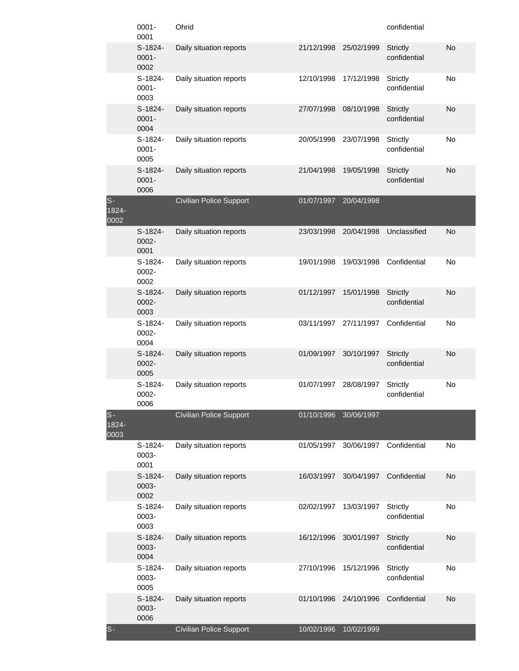|                        | $0001 -$<br>0001              | Ohrid                          |            |            | confidential                    |           |
|------------------------|-------------------------------|--------------------------------|------------|------------|---------------------------------|-----------|
|                        | $S-1824-$<br>$0001 -$<br>0002 | Daily situation reports        | 21/12/1998 | 25/02/1999 | <b>Strictly</b><br>confidential | No        |
|                        | S-1824-<br>$0001 -$<br>0003   | Daily situation reports        | 12/10/1998 | 17/12/1998 | <b>Strictly</b><br>confidential | No        |
|                        | $S-1824-$<br>$0001 -$<br>0004 | Daily situation reports        | 27/07/1998 | 08/10/1998 | <b>Strictly</b><br>confidential | No        |
|                        | $S-1824-$<br>$0001 -$<br>0005 | Daily situation reports        | 20/05/1998 | 23/07/1998 | <b>Strictly</b><br>confidential | No        |
|                        | $S-1824-$<br>$0001 -$<br>0006 | Daily situation reports        | 21/04/1998 | 19/05/1998 | <b>Strictly</b><br>confidential | No        |
| $S -$<br>1824-<br>0002 |                               | <b>Civilian Police Support</b> | 01/07/1997 | 20/04/1998 |                                 |           |
|                        | $S-1824-$<br>0002-<br>0001    | Daily situation reports        | 23/03/1998 | 20/04/1998 | Unclassified                    | No        |
|                        | $S-1824-$<br>0002-<br>0002    | Daily situation reports        | 19/01/1998 | 19/03/1998 | Confidential                    | No        |
|                        | $S-1824-$<br>0002-<br>0003    | Daily situation reports        | 01/12/1997 | 15/01/1998 | <b>Strictly</b><br>confidential | <b>No</b> |
|                        | S-1824-<br>0002-<br>0004      | Daily situation reports        | 03/11/1997 | 27/11/1997 | Confidential                    | No        |
|                        | $S-1824-$<br>0002-<br>0005    | Daily situation reports        | 01/09/1997 | 30/10/1997 | <b>Strictly</b><br>confidential | <b>No</b> |
|                        | S-1824-<br>0002-<br>0006      | Daily situation reports        | 01/07/1997 | 28/08/1997 | <b>Strictly</b><br>confidential | No        |
| $S -$<br>1824-<br>0003 |                               | <b>Civilian Police Support</b> | 01/10/1996 | 30/06/1997 |                                 |           |
|                        | S-1824-<br>0003-<br>0001      | Daily situation reports        | 01/05/1997 | 30/06/1997 | Confidential                    | No        |
|                        | $S-1824-$<br>0003-<br>0002    | Daily situation reports        | 16/03/1997 | 30/04/1997 | Confidential                    | No        |
|                        | $S-1824-$<br>0003-<br>0003    | Daily situation reports        | 02/02/1997 | 13/03/1997 | <b>Strictly</b><br>confidential | No        |
|                        | $S-1824-$<br>0003-<br>0004    | Daily situation reports        | 16/12/1996 | 30/01/1997 | <b>Strictly</b><br>confidential | No        |
|                        | $S-1824-$<br>0003-<br>0005    | Daily situation reports        | 27/10/1996 | 15/12/1996 | Strictly<br>confidential        | No        |
|                        | $S-1824-$<br>0003-<br>0006    | Daily situation reports        | 01/10/1996 | 24/10/1996 | Confidential                    | No        |
| $S -$                  |                               | <b>Civilian Police Support</b> | 10/02/1996 | 10/02/1999 |                                 |           |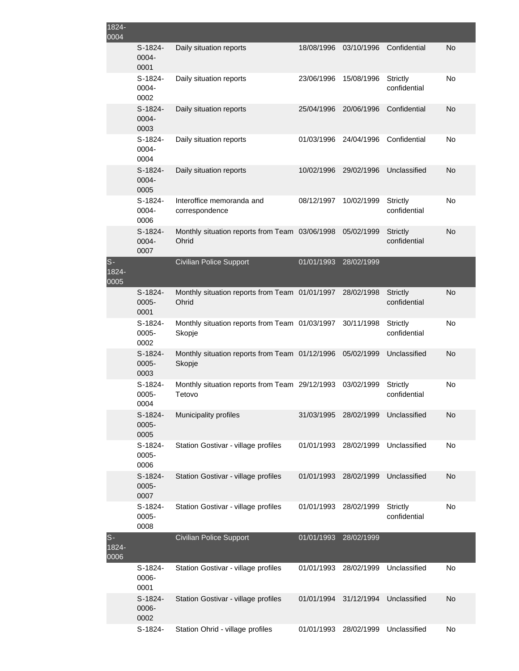| 1824-<br>0004            |                             |                                                          |            |            |                                 |    |
|--------------------------|-----------------------------|----------------------------------------------------------|------------|------------|---------------------------------|----|
|                          | S-1824-<br>0004-<br>0001    | Daily situation reports                                  | 18/08/1996 | 03/10/1996 | Confidential                    | No |
|                          | $S-1824-$<br>0004-<br>0002  | Daily situation reports                                  | 23/06/1996 | 15/08/1996 | <b>Strictly</b><br>confidential | No |
|                          | $S-1824-$<br>0004-<br>0003  | Daily situation reports                                  | 25/04/1996 | 20/06/1996 | Confidential                    | No |
|                          | $S-1824-$<br>0004-<br>0004  | Daily situation reports                                  | 01/03/1996 | 24/04/1996 | Confidential                    | No |
|                          | $S-1824-$<br>0004-<br>0005  | Daily situation reports                                  | 10/02/1996 | 29/02/1996 | Unclassified                    | No |
|                          | $S-1824-$<br>0004-<br>0006  | Interoffice memoranda and<br>correspondence              | 08/12/1997 | 10/02/1999 | Strictly<br>confidential        | No |
|                          | $S-1824-$<br>0004-<br>0007  | Monthly situation reports from Team 03/06/1998<br>Ohrid  |            | 05/02/1999 | <b>Strictly</b><br>confidential | No |
| $S-$<br>$1824 -$<br>0005 |                             | <b>Civilian Police Support</b>                           | 01/01/1993 | 28/02/1999 |                                 |    |
|                          | S-1824-<br>$0005 -$<br>0001 | Monthly situation reports from Team 01/01/1997<br>Ohrid  |            | 28/02/1998 | <b>Strictly</b><br>confidential | No |
|                          | S-1824-<br>$0005 -$<br>0002 | Monthly situation reports from Team 01/03/1997<br>Skopje |            | 30/11/1998 | Strictly<br>confidential        | No |
|                          | S-1824-<br>0005-<br>0003    | Monthly situation reports from Team 01/12/1996<br>Skopje |            | 05/02/1999 | Unclassified                    | No |
|                          | S-1824-<br>0005-<br>0004    | Monthly situation reports from Team 29/12/1993<br>Tetovo |            | 03/02/1999 | Strictly<br>confidential        | No |
|                          | S-1824-<br>0005-<br>0005    | Municipality profiles                                    | 31/03/1995 | 28/02/1999 | Unclassified                    | No |
|                          | S-1824-<br>0005-<br>0006    | Station Gostivar - village profiles                      | 01/01/1993 | 28/02/1999 | Unclassified                    | No |
|                          | S-1824-<br>0005-<br>0007    | Station Gostivar - village profiles                      | 01/01/1993 | 28/02/1999 | Unclassified                    | No |
|                          | S-1824-<br>0005-<br>0008    | Station Gostivar - village profiles                      | 01/01/1993 | 28/02/1999 | <b>Strictly</b><br>confidential | No |
| $S-$<br>$1824 -$<br>0006 |                             | <b>Civilian Police Support</b>                           | 01/01/1993 | 28/02/1999 |                                 |    |
|                          | S-1824-<br>0006-<br>0001    | Station Gostivar - village profiles                      | 01/01/1993 | 28/02/1999 | Unclassified                    | No |
|                          | S-1824-<br>0006-<br>0002    | Station Gostivar - village profiles                      | 01/01/1994 | 31/12/1994 | Unclassified                    | No |
|                          | S-1824-                     | Station Ohrid - village profiles                         | 01/01/1993 | 28/02/1999 | Unclassified                    | No |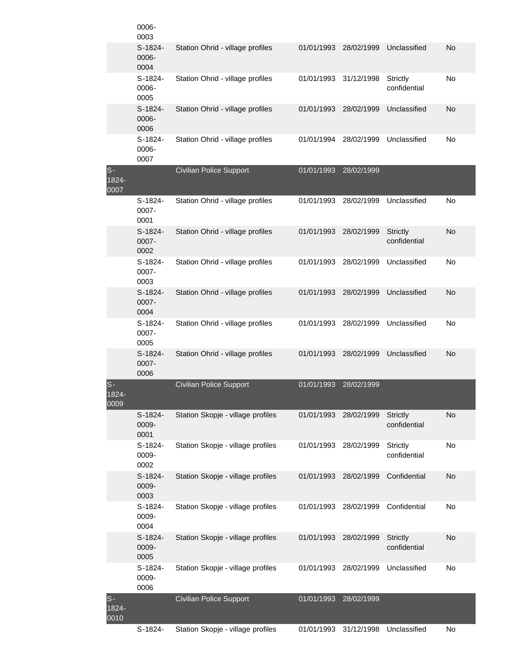|                             | 0006-<br>0003              |                                   |            |            |                                 |    |
|-----------------------------|----------------------------|-----------------------------------|------------|------------|---------------------------------|----|
|                             | S-1824-<br>0006-<br>0004   | Station Ohrid - village profiles  | 01/01/1993 | 28/02/1999 | Unclassified                    | No |
|                             | $S-1824-$<br>0006-<br>0005 | Station Ohrid - village profiles  | 01/01/1993 | 31/12/1998 | Strictly<br>confidential        | No |
|                             | S-1824-<br>0006-<br>0006   | Station Ohrid - village profiles  | 01/01/1993 | 28/02/1999 | Unclassified                    | No |
|                             | S-1824-<br>0006-<br>0007   | Station Ohrid - village profiles  | 01/01/1994 | 28/02/1999 | Unclassified                    | No |
| $S-$<br>$1824 -$<br>0007    |                            | <b>Civilian Police Support</b>    | 01/01/1993 | 28/02/1999 |                                 |    |
|                             | S-1824-<br>0007-<br>0001   | Station Ohrid - village profiles  | 01/01/1993 | 28/02/1999 | Unclassified                    | No |
|                             | S-1824-<br>0007-<br>0002   | Station Ohrid - village profiles  | 01/01/1993 | 28/02/1999 | Strictly<br>confidential        | No |
|                             | S-1824-<br>0007-<br>0003   | Station Ohrid - village profiles  | 01/01/1993 | 28/02/1999 | Unclassified                    | No |
|                             | S-1824-<br>0007-<br>0004   | Station Ohrid - village profiles  | 01/01/1993 | 28/02/1999 | Unclassified                    | No |
|                             | S-1824-<br>0007-<br>0005   | Station Ohrid - village profiles  | 01/01/1993 | 28/02/1999 | Unclassified                    | No |
|                             | S-1824-<br>0007-<br>0006   | Station Ohrid - village profiles  | 01/01/1993 | 28/02/1999 | Unclassified                    | No |
| $S-$<br>1824<br><b>OOOA</b> |                            | <b>Civilian Police Support</b>    | 01/01/1993 | 28/02/1999 |                                 |    |
|                             | S-1824-<br>0009-<br>0001   | Station Skopje - village profiles | 01/01/1993 | 28/02/1999 | <b>Strictly</b><br>confidential | No |
|                             | S-1824-<br>0009-<br>0002   | Station Skopje - village profiles | 01/01/1993 | 28/02/1999 | Strictly<br>confidential        | No |
|                             | S-1824-<br>0009-<br>0003   | Station Skopje - village profiles | 01/01/1993 | 28/02/1999 | Confidential                    | No |
|                             | S-1824-<br>0009-<br>0004   | Station Skopje - village profiles | 01/01/1993 | 28/02/1999 | Confidential                    | No |
|                             | S-1824-<br>0009-<br>0005   | Station Skopje - village profiles | 01/01/1993 | 28/02/1999 | <b>Strictly</b><br>confidential | No |
|                             | S-1824-<br>0009-<br>0006   | Station Skopje - village profiles | 01/01/1993 | 28/02/1999 | Unclassified                    | No |
| $S -$<br>1824-<br>0010      |                            | <b>Civilian Police Support</b>    | 01/01/1993 | 28/02/1999 |                                 |    |
|                             | S-1824-                    | Station Skopje - village profiles | 01/01/1993 | 31/12/1998 | Unclassified                    | No |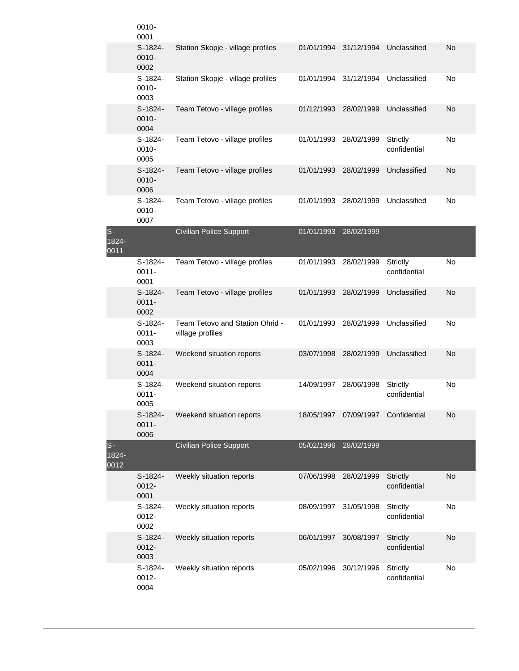|                           | 0010-<br>0001                 |                                                     |            |            |                                 |    |
|---------------------------|-------------------------------|-----------------------------------------------------|------------|------------|---------------------------------|----|
|                           | $S-1824-$<br>0010-<br>0002    | Station Skopje - village profiles                   | 01/01/1994 | 31/12/1994 | Unclassified                    | No |
|                           | $S-1824-$<br>0010-<br>0003    | Station Skopje - village profiles                   | 01/01/1994 | 31/12/1994 | Unclassified                    | No |
|                           | $S-1824-$<br>0010-<br>0004    | Team Tetovo - village profiles                      | 01/12/1993 | 28/02/1999 | Unclassified                    | No |
|                           | $S-1824-$<br>0010-<br>0005    | Team Tetovo - village profiles                      | 01/01/1993 | 28/02/1999 | <b>Strictly</b><br>confidential | No |
|                           | $S-1824-$<br>0010-<br>0006    | Team Tetovo - village profiles                      | 01/01/1993 | 28/02/1999 | Unclassified                    | No |
|                           | $S-1824-$<br>0010-<br>0007    | Team Tetovo - village profiles                      | 01/01/1993 | 28/02/1999 | Unclassified                    | No |
| $S -$<br>$1824 -$<br>0011 |                               | <b>Civilian Police Support</b>                      | 01/01/1993 | 28/02/1999 |                                 |    |
|                           | $S-1824-$<br>$0011 -$<br>0001 | Team Tetovo - village profiles                      | 01/01/1993 | 28/02/1999 | Strictly<br>confidential        | No |
|                           | $S-1824-$<br>$0011 -$<br>0002 | Team Tetovo - village profiles                      | 01/01/1993 | 28/02/1999 | Unclassified                    | No |
|                           | S-1824-<br>$0011 -$<br>0003   | Team Tetovo and Station Ohrid -<br>village profiles | 01/01/1993 | 28/02/1999 | Unclassified                    | No |
|                           | S-1824-<br>$0011 -$<br>0004   | Weekend situation reports                           | 03/07/1998 | 28/02/1999 | Unclassified                    | No |
|                           | S-1824-<br>$0011 -$<br>0005   | Weekend situation reports                           | 14/09/1997 | 28/06/1998 | Strictly<br>confidential        | No |
|                           | S-1824-<br>$0011 -$<br>0006   | Weekend situation reports                           | 18/05/1997 | 07/09/1997 | Confidential                    | No |
| $S -$<br>$1824 -$<br>0012 |                               | <b>Civilian Police Support</b>                      | 05/02/1996 | 28/02/1999 |                                 |    |
|                           | $S-1824-$<br>$0012 -$<br>0001 | Weekly situation reports                            | 07/06/1998 | 28/02/1999 | Strictly<br>confidential        | No |
|                           | S-1824-<br>0012-<br>0002      | Weekly situation reports                            | 08/09/1997 | 31/05/1998 | Strictly<br>confidential        | No |
|                           | S-1824-<br>0012-<br>0003      | Weekly situation reports                            | 06/01/1997 | 30/08/1997 | Strictly<br>confidential        | No |
|                           | S-1824-<br>0012-<br>0004      | Weekly situation reports                            | 05/02/1996 | 30/12/1996 | Strictly<br>confidential        | No |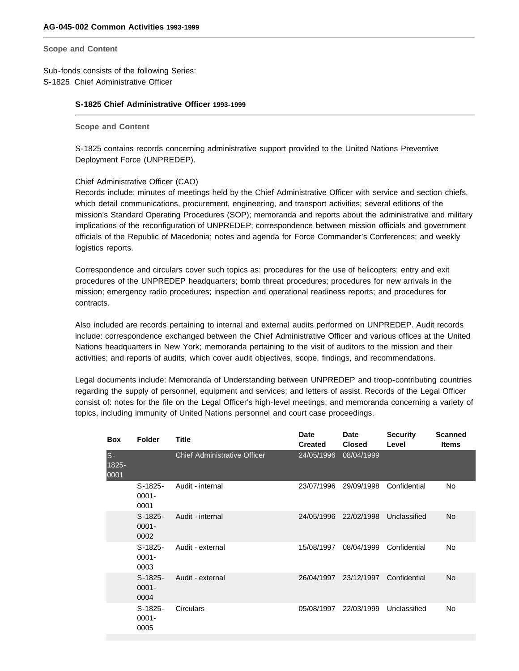**Scope and Content** 

Sub-fonds consists of the following Series: S-1825 Chief Administrative Officer

## **S-1825 Chief Administrative Officer 1993-1999**

**Scope and Content** 

S-1825 contains records concerning administrative support provided to the United Nations Preventive Deployment Force (UNPREDEP).

## Chief Administrative Officer (CAO)

Records include: minutes of meetings held by the Chief Administrative Officer with service and section chiefs, which detail communications, procurement, engineering, and transport activities; several editions of the mission's Standard Operating Procedures (SOP); memoranda and reports about the administrative and military implications of the reconfiguration of UNPREDEP; correspondence between mission officials and government officials of the Republic of Macedonia; notes and agenda for Force Commander's Conferences; and weekly logistics reports.

Correspondence and circulars cover such topics as: procedures for the use of helicopters; entry and exit procedures of the UNPREDEP headquarters; bomb threat procedures; procedures for new arrivals in the mission; emergency radio procedures; inspection and operational readiness reports; and procedures for contracts.

Also included are records pertaining to internal and external audits performed on UNPREDEP. Audit records include: correspondence exchanged between the Chief Administrative Officer and various offices at the United Nations headquarters in New York; memoranda pertaining to the visit of auditors to the mission and their activities; and reports of audits, which cover audit objectives, scope, findings, and recommendations.

Legal documents include: Memoranda of Understanding between UNPREDEP and troop-contributing countries regarding the supply of personnel, equipment and services; and letters of assist. Records of the Legal Officer consist of: notes for the file on the Legal Officer's high-level meetings; and memoranda concerning a variety of topics, including immunity of United Nations personnel and court case proceedings.

| <b>Box</b>            | <b>Folder</b>                 | Title                               | Date<br><b>Created</b> | <b>Date</b><br><b>Closed</b> | <b>Security</b><br>Level | <b>Scanned</b><br><b>Items</b> |
|-----------------------|-------------------------------|-------------------------------------|------------------------|------------------------------|--------------------------|--------------------------------|
| $S-$<br>1825-<br>0001 |                               | <b>Chief Administrative Officer</b> | 24/05/1996             | 08/04/1999                   |                          |                                |
|                       | $S-1825-$<br>$0001 -$<br>0001 | Audit - internal                    | 23/07/1996             | 29/09/1998                   | Confidential             | No                             |
|                       | $S-1825-$<br>$0001 -$<br>0002 | Audit - internal                    | 24/05/1996             | 22/02/1998                   | Unclassified             | <b>No</b>                      |
|                       | $S-1825-$<br>$0001 -$<br>0003 | Audit - external                    | 15/08/1997             | 08/04/1999                   | Confidential             | No                             |
|                       | $S-1825-$<br>$0001 -$<br>0004 | Audit - external                    | 26/04/1997             | 23/12/1997                   | Confidential             | <b>No</b>                      |
|                       | $S-1825-$<br>$0001 -$<br>0005 | Circulars                           | 05/08/1997             | 22/03/1999                   | Unclassified             | <b>No</b>                      |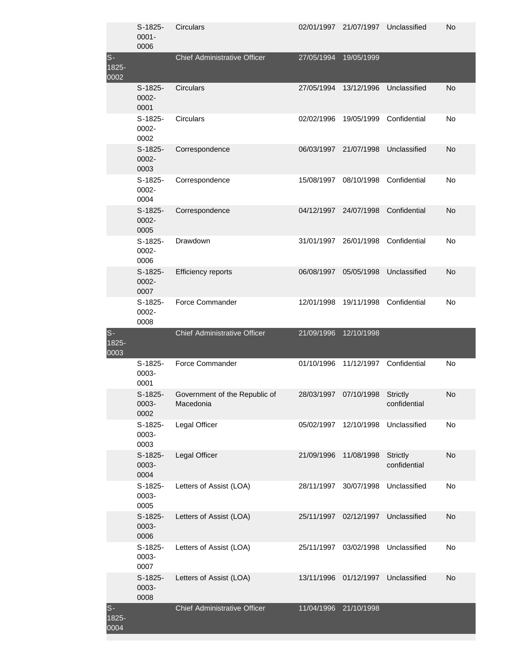|                           | $S-1825-$<br>$0001 -$<br>0006 | Circulars                                  |            | 02/01/1997 21/07/1997 | Unclassified             | <b>No</b> |
|---------------------------|-------------------------------|--------------------------------------------|------------|-----------------------|--------------------------|-----------|
| $S -$<br>$1825 -$<br>0002 |                               | <b>Chief Administrative Officer</b>        | 27/05/1994 | 19/05/1999            |                          |           |
|                           | $S-1825-$<br>0002-<br>0001    | Circulars                                  | 27/05/1994 | 13/12/1996            | Unclassified             | No        |
|                           | $S-1825-$<br>0002-<br>0002    | Circulars                                  | 02/02/1996 | 19/05/1999            | Confidential             | No        |
|                           | $S-1825-$<br>0002-<br>0003    | Correspondence                             |            | 06/03/1997 21/07/1998 | Unclassified             | No        |
|                           | $S-1825-$<br>0002-<br>0004    | Correspondence                             | 15/08/1997 | 08/10/1998            | Confidential             | No        |
|                           | $S-1825-$<br>0002-<br>0005    | Correspondence                             |            | 04/12/1997 24/07/1998 | Confidential             | No        |
|                           | $S-1825-$<br>0002-<br>0006    | Drawdown                                   |            | 31/01/1997 26/01/1998 | Confidential             | No        |
|                           | $S-1825-$<br>0002-<br>0007    | Efficiency reports                         | 06/08/1997 | 05/05/1998            | Unclassified             | No        |
|                           | $S-1825-$<br>0002-<br>0008    | Force Commander                            | 12/01/1998 | 19/11/1998            | Confidential             | No        |
| $S-$<br>$1825 -$<br>0003  |                               | <b>Chief Administrative Officer</b>        | 21/09/1996 | 12/10/1998            |                          |           |
|                           | $S-1825-$<br>0003-<br>0001    | Force Commander                            | 01/10/1996 | 11/12/1997            | Confidential             | No        |
|                           | $S-1825-$<br>0003-<br>0002    | Government of the Republic of<br>Macedonia | 28/03/1997 | 07/10/1998            | Strictly<br>confidential | No        |
|                           | S-1825-<br>0003-<br>0003      | Legal Officer                              | 05/02/1997 | 12/10/1998            | Unclassified             | No        |
|                           | $S-1825-$<br>0003-<br>0004    | Legal Officer                              | 21/09/1996 | 11/08/1998            | Strictly<br>confidential | <b>No</b> |
|                           | $S-1825-$<br>0003-<br>0005    | Letters of Assist (LOA)                    | 28/11/1997 | 30/07/1998            | Unclassified             | No        |
|                           | $S-1825-$<br>0003-<br>0006    | Letters of Assist (LOA)                    | 25/11/1997 | 02/12/1997            | Unclassified             | <b>No</b> |
|                           | S-1825-<br>0003-<br>0007      | Letters of Assist (LOA)                    | 25/11/1997 | 03/02/1998            | Unclassified             | No        |
|                           | S-1825-<br>0003-<br>0008      | Letters of Assist (LOA)                    | 13/11/1996 | 01/12/1997            | Unclassified             | <b>No</b> |
| $S-$<br>$1825 -$<br>0004  |                               | Chief Administrative Officer               | 11/04/1996 | 21/10/1998            |                          |           |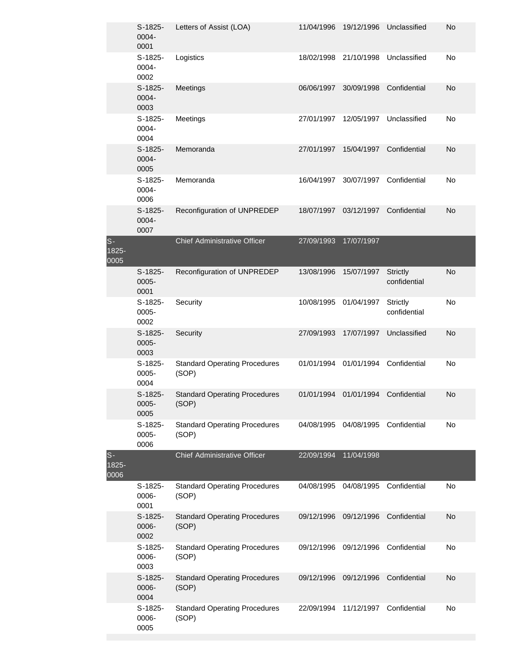|                        | S-1825-<br>0004-<br>0001      | Letters of Assist (LOA)                       | 11/04/1996            | 19/12/1996              | Unclassified                    | No        |
|------------------------|-------------------------------|-----------------------------------------------|-----------------------|-------------------------|---------------------------------|-----------|
|                        | S-1825-<br>0004-<br>0002      | Logistics                                     | 18/02/1998            | 21/10/1998              | Unclassified                    | No        |
|                        | $S-1825-$<br>0004-<br>0003    | Meetings                                      | 06/06/1997            | 30/09/1998              | Confidential                    | <b>No</b> |
|                        | S-1825-<br>0004-<br>0004      | Meetings                                      | 27/01/1997            | 12/05/1997              | Unclassified                    | No        |
|                        | $S-1825-$<br>0004-<br>0005    | Memoranda                                     | 27/01/1997            | 15/04/1997              | Confidential                    | <b>No</b> |
|                        | S-1825-<br>0004-<br>0006      | Memoranda                                     | 16/04/1997            | 30/07/1997              | Confidential                    | No        |
|                        | $S-1825-$<br>0004-<br>0007    | Reconfiguration of UNPREDEP                   | 18/07/1997            | 03/12/1997              | Confidential                    | No        |
| $S -$<br>1825-<br>0005 |                               | <b>Chief Administrative Officer</b>           | 27/09/1993            | 17/07/1997              |                                 |           |
|                        | $S-1825-$<br>$0005 -$<br>0001 | Reconfiguration of UNPREDEP                   | 13/08/1996            | 15/07/1997              | <b>Strictly</b><br>confidential | <b>No</b> |
|                        | S-1825-<br>$0005 -$<br>0002   | Security                                      | 10/08/1995            | 01/04/1997              | Strictly<br>confidential        | No        |
|                        | $S-1825-$<br>$0005 -$<br>0003 | Security                                      | 27/09/1993            | 17/07/1997              | Unclassified                    | <b>No</b> |
|                        | $S-1825-$<br>$0005 -$<br>0004 | <b>Standard Operating Procedures</b><br>(SOP) | 01/01/1994 01/01/1994 |                         | Confidential                    | No        |
|                        | $S-1825-$<br>0005-<br>0005    | <b>Standard Operating Procedures</b><br>(SOP) | 01/01/1994            | 01/01/1994              | Confidential                    | <b>No</b> |
|                        | $S-1825-$<br>0005-<br>0006    | <b>Standard Operating Procedures</b><br>(SOP) | 04/08/1995            | 04/08/1995 Confidential |                                 | No        |
| $S-$<br>1825-<br>0006  |                               | <b>Chief Administrative Officer</b>           | 22/09/1994            | 11/04/1998              |                                 |           |
|                        | S-1825-<br>0006-<br>0001      | <b>Standard Operating Procedures</b><br>(SOP) | 04/08/1995            | 04/08/1995              | Confidential                    | No        |
|                        | $S-1825-$<br>0006-<br>0002    | <b>Standard Operating Procedures</b><br>(SOP) | 09/12/1996            | 09/12/1996              | Confidential                    | <b>No</b> |
|                        | $S-1825-$<br>0006-<br>0003    | <b>Standard Operating Procedures</b><br>(SOP) | 09/12/1996            | 09/12/1996              | Confidential                    | No        |
|                        | $S-1825-$<br>0006-<br>0004    | <b>Standard Operating Procedures</b><br>(SOP) | 09/12/1996            | 09/12/1996              | Confidential                    | <b>No</b> |
|                        | S-1825-<br>0006-<br>0005      | <b>Standard Operating Procedures</b><br>(SOP) | 22/09/1994            | 11/12/1997              | Confidential                    | No        |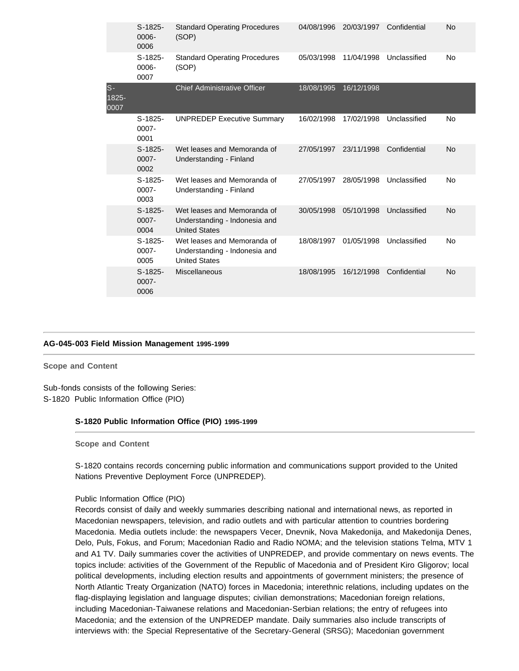|                       | $S-1825-$<br>0006-<br>0006    | <b>Standard Operating Procedures</b><br>(SOP)                                        | 04/08/1996 | 20/03/1997 | Confidential | <b>No</b> |
|-----------------------|-------------------------------|--------------------------------------------------------------------------------------|------------|------------|--------------|-----------|
|                       | $S-1825-$<br>0006-<br>0007    | <b>Standard Operating Procedures</b><br>(SOP)                                        | 05/03/1998 | 11/04/1998 | Unclassified | No        |
| $S-$<br>1825-<br>0007 |                               | <b>Chief Administrative Officer</b>                                                  | 18/08/1995 | 16/12/1998 |              |           |
|                       | $S-1825-$<br>$0007 -$<br>0001 | <b>UNPREDEP Executive Summary</b>                                                    | 16/02/1998 | 17/02/1998 | Unclassified | No        |
|                       | $S-1825-$<br>$0007 -$<br>0002 | Wet leases and Memoranda of<br>Understanding - Finland                               | 27/05/1997 | 23/11/1998 | Confidential | No        |
|                       | $S-1825-$<br>$0007 -$<br>0003 | Wet leases and Memoranda of<br>Understanding - Finland                               | 27/05/1997 | 28/05/1998 | Unclassified | No        |
|                       | $S-1825-$<br>$0007 -$<br>0004 | Wet leases and Memoranda of<br>Understanding - Indonesia and<br><b>United States</b> | 30/05/1998 | 05/10/1998 | Unclassified | <b>No</b> |
|                       | $S-1825-$<br>$0007 -$<br>0005 | Wet leases and Memoranda of<br>Understanding - Indonesia and<br><b>United States</b> | 18/08/1997 | 01/05/1998 | Unclassified | No        |
|                       | $S-1825-$<br>$0007 -$<br>0006 | <b>Miscellaneous</b>                                                                 | 18/08/1995 | 16/12/1998 | Confidential | No        |

#### **[AG-045-003 Field Mission Management 1995-1999](http://search.archives.un.org/field-mission-management-3)**

**Scope and Content** 

Sub-fonds consists of the following Series: S-1820 Public Information Office (PIO)

## **S-1820 Public Information Office (PIO) 1995-1999**

**Scope and Content** 

S-1820 contains records concerning public information and communications support provided to the United Nations Preventive Deployment Force (UNPREDEP).

Public Information Office (PIO)

Records consist of daily and weekly summaries describing national and international news, as reported in Macedonian newspapers, television, and radio outlets and with particular attention to countries bordering Macedonia. Media outlets include: the newspapers Vecer, Dnevnik, Nova Makedonija, and Makedonija Denes, Delo, Puls, Fokus, and Forum; Macedonian Radio and Radio NOMA; and the television stations Telma, MTV 1 and A1 TV. Daily summaries cover the activities of UNPREDEP, and provide commentary on news events. The topics include: activities of the Government of the Republic of Macedonia and of President Kiro Gligorov; local political developments, including election results and appointments of government ministers; the presence of North Atlantic Treaty Organization (NATO) forces in Macedonia; interethnic relations, including updates on the flag-displaying legislation and language disputes; civilian demonstrations; Macedonian foreign relations, including Macedonian-Taiwanese relations and Macedonian-Serbian relations; the entry of refugees into Macedonia; and the extension of the UNPREDEP mandate. Daily summaries also include transcripts of interviews with: the Special Representative of the Secretary-General (SRSG); Macedonian government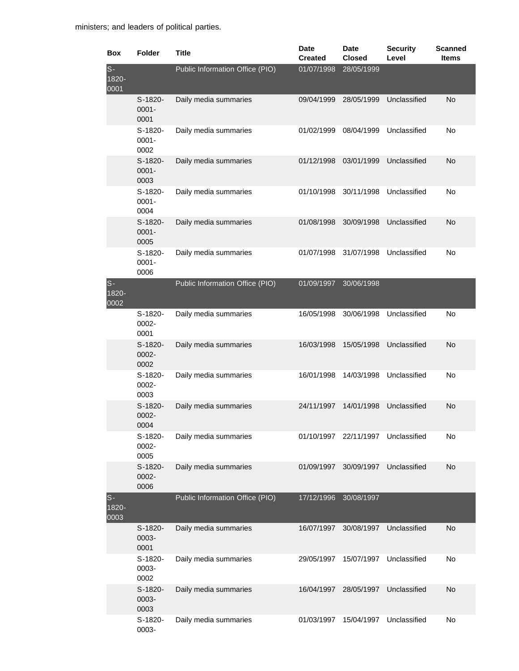| Box                   | <b>Folder</b>                 | Title                           | Date<br><b>Created</b> | <b>Date</b><br><b>Closed</b> | <b>Security</b><br>Level | <b>Scanned</b><br><b>Items</b> |
|-----------------------|-------------------------------|---------------------------------|------------------------|------------------------------|--------------------------|--------------------------------|
| $s-$<br>1820-<br>0001 |                               | Public Information Office (PIO) | 01/07/1998             | 28/05/1999                   |                          |                                |
|                       | S-1820-<br>$0001 -$<br>0001   | Daily media summaries           | 09/04/1999             | 28/05/1999                   | Unclassified             | <b>No</b>                      |
|                       | $S-1820-$<br>$0001 -$<br>0002 | Daily media summaries           | 01/02/1999             | 08/04/1999                   | Unclassified             | No                             |
|                       | $S-1820-$<br>$0001 -$<br>0003 | Daily media summaries           | 01/12/1998             | 03/01/1999                   | Unclassified             | <b>No</b>                      |
|                       | S-1820-<br>$0001 -$<br>0004   | Daily media summaries           | 01/10/1998             | 30/11/1998                   | Unclassified             | No                             |
|                       | S-1820-<br>$0001 -$<br>0005   | Daily media summaries           | 01/08/1998             | 30/09/1998                   | Unclassified             | No                             |
|                       | S-1820-<br>$0001 -$<br>0006   | Daily media summaries           | 01/07/1998             | 31/07/1998                   | Unclassified             | No                             |
| $S-$<br>1820-<br>0002 |                               | Public Information Office (PIO) | 01/09/1997             | 30/06/1998                   |                          |                                |
|                       | S-1820-<br>0002-<br>0001      | Daily media summaries           | 16/05/1998             | 30/06/1998                   | Unclassified             | No                             |
|                       | S-1820-<br>0002-<br>0002      | Daily media summaries           | 16/03/1998             | 15/05/1998                   | Unclassified             | No                             |
|                       | S-1820-<br>0002-<br>0003      | Daily media summaries           | 16/01/1998             | 14/03/1998                   | Unclassified             | No                             |
|                       | S-1820-<br>0002-<br>0004      | Daily media summaries           | 24/11/1997             | 14/01/1998                   | Unclassified             | No                             |
|                       | S-1820-<br>0002-<br>0005      | Daily media summaries           |                        | 01/10/1997 22/11/1997        | Unclassified             | No                             |
|                       | S-1820-<br>0002-<br>0006      | Daily media summaries           | 01/09/1997             | 30/09/1997                   | Unclassified             | <b>No</b>                      |
| $S-$<br>1820-<br>0003 |                               | Public Information Office (PIO) | 17/12/1996             | 30/08/1997                   |                          |                                |
|                       | S-1820-<br>0003-<br>0001      | Daily media summaries           | 16/07/1997             | 30/08/1997                   | Unclassified             | <b>No</b>                      |
|                       | S-1820-<br>0003-<br>0002      | Daily media summaries           | 29/05/1997             | 15/07/1997                   | Unclassified             | No                             |
|                       | S-1820-<br>0003-<br>0003      | Daily media summaries           | 16/04/1997             | 28/05/1997                   | Unclassified             | <b>No</b>                      |
|                       | S-1820-<br>0003-              | Daily media summaries           | 01/03/1997             | 15/04/1997                   | Unclassified             | No                             |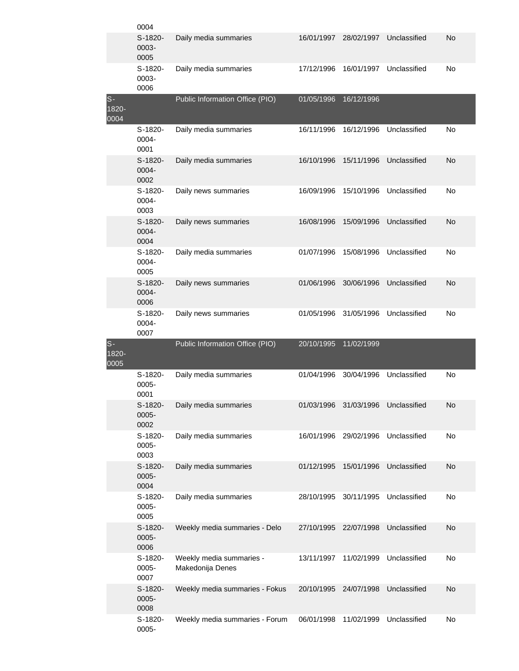|                       | 0004                        |                                              |            |            |              |    |
|-----------------------|-----------------------------|----------------------------------------------|------------|------------|--------------|----|
|                       | $S-1820-$<br>0003-<br>0005  | Daily media summaries                        | 16/01/1997 | 28/02/1997 | Unclassified | No |
|                       | S-1820-<br>0003-<br>0006    | Daily media summaries                        | 17/12/1996 | 16/01/1997 | Unclassified | No |
| $S-$<br>1820-<br>0004 |                             | Public Information Office (PIO)              | 01/05/1996 | 16/12/1996 |              |    |
|                       | S-1820-<br>0004-<br>0001    | Daily media summaries                        | 16/11/1996 | 16/12/1996 | Unclassified | No |
|                       | S-1820-<br>0004-<br>0002    | Daily media summaries                        | 16/10/1996 | 15/11/1996 | Unclassified | No |
|                       | S-1820-<br>0004-<br>0003    | Daily news summaries                         | 16/09/1996 | 15/10/1996 | Unclassified | No |
|                       | $S-1820-$<br>0004-<br>0004  | Daily news summaries                         | 16/08/1996 | 15/09/1996 | Unclassified | No |
|                       | S-1820-<br>0004-<br>0005    | Daily media summaries                        | 01/07/1996 | 15/08/1996 | Unclassified | No |
|                       | S-1820-<br>0004-<br>0006    | Daily news summaries                         | 01/06/1996 | 30/06/1996 | Unclassified | No |
|                       | S-1820-<br>0004-<br>0007    | Daily news summaries                         | 01/05/1996 | 31/05/1996 | Unclassified | No |
| $S-$<br>1820-<br>0005 |                             | Public Information Office (PIO)              | 20/10/1995 | 11/02/1999 |              |    |
|                       | S-1820-<br>0005-<br>0001    | Daily media summaries                        | 01/04/1996 | 30/04/1996 | Unclassified | No |
|                       |                             |                                              |            |            |              |    |
|                       | S-1820-<br>0005-<br>0002    | Daily media summaries                        | 01/03/1996 | 31/03/1996 | Unclassified | No |
|                       | S-1820-<br>0005-<br>0003    | Daily media summaries                        | 16/01/1996 | 29/02/1996 | Unclassified | No |
|                       | S-1820-<br>0005-<br>0004    | Daily media summaries                        | 01/12/1995 | 15/01/1996 | Unclassified | No |
|                       | S-1820-<br>0005-<br>0005    | Daily media summaries                        | 28/10/1995 | 30/11/1995 | Unclassified | No |
|                       | S-1820-<br>$0005 -$<br>0006 | Weekly media summaries - Delo                | 27/10/1995 | 22/07/1998 | Unclassified | No |
|                       | S-1820-<br>0005-<br>0007    | Weekly media summaries -<br>Makedonija Denes | 13/11/1997 | 11/02/1999 | Unclassified | No |
|                       | S-1820-<br>0005-<br>0008    | Weekly media summaries - Fokus               | 20/10/1995 | 24/07/1998 | Unclassified | No |